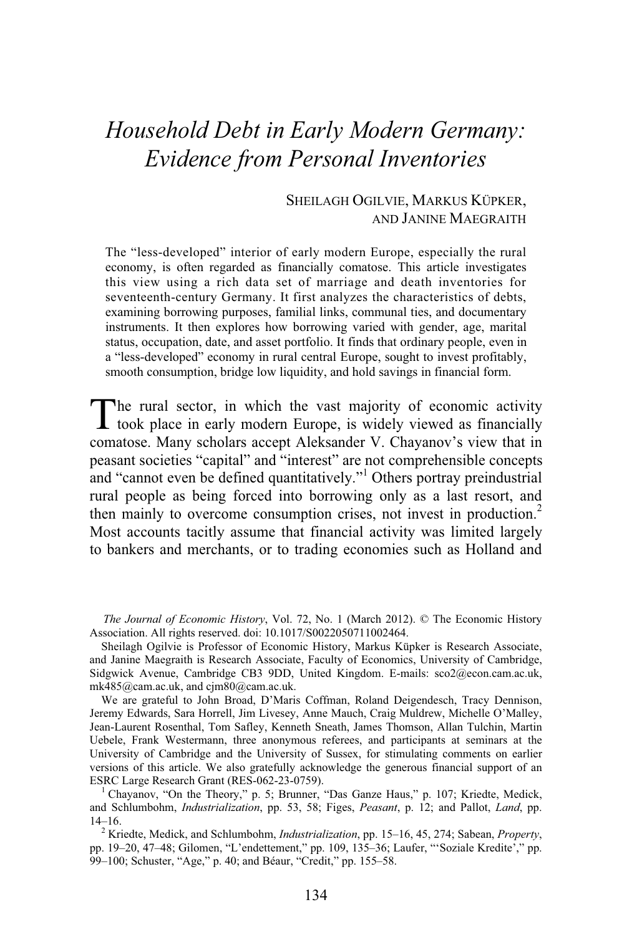# *Household Debt in Early Modern Germany: Evidence from Personal Inventories*

### SHEILAGH OGILVIE, MARKUS KÜPKER, AND JANINE MAEGRAITH

The "less-developed" interior of early modern Europe, especially the rural economy, is often regarded as financially comatose. This article investigates this view using a rich data set of marriage and death inventories for seventeenth-century Germany. It first analyzes the characteristics of debts, examining borrowing purposes, familial links, communal ties, and documentary instruments. It then explores how borrowing varied with gender, age, marital status, occupation, date, and asset portfolio. It finds that ordinary people, even in a "less-developed" economy in rural central Europe, sought to invest profitably, smooth consumption, bridge low liquidity, and hold savings in financial form.

The rural sector, in which the vast majority of economic activity took place in early modern Europe, is widely viewed as financially took place in early modern Europe, is widely viewed as financially comatose. Many scholars accept Aleksander V. Chayanov's view that in peasant societies "capital" and "interest" are not comprehensible concepts and "cannot even be defined quantitatively."<sup>1</sup> Others portray preindustrial rural people as being forced into borrowing only as a last resort, and then mainly to overcome consumption crises, not invest in production.<sup>2</sup> Most accounts tacitly assume that financial activity was limited largely to bankers and merchants, or to trading economies such as Holland and

*The Journal of Economic History*, Vol. 72, No. 1 (March 2012). © The Economic History Association. All rights reserved. doi: 10.1017/S0022050711002464.

Sheilagh Ogilvie is Professor of Economic History, Markus Küpker is Research Associate, and Janine Maegraith is Research Associate, Faculty of Economics, University of Cambridge, Sidgwick Avenue, Cambridge CB3 9DD, United Kingdom. E-mails: sco2@econ.cam.ac.uk, mk485@cam.ac.uk, and cjm80@cam.ac.uk.

We are grateful to John Broad, D'Maris Coffman, Roland Deigendesch, Tracy Dennison, Jeremy Edwards, Sara Horrell, Jim Livesey, Anne Mauch, Craig Muldrew, Michelle O'Malley, Jean-Laurent Rosenthal, Tom Safley, Kenneth Sneath, James Thomson, Allan Tulchin, Martin Uebele, Frank Westermann, three anonymous referees, and participants at seminars at the University of Cambridge and the University of Sussex, for stimulating comments on earlier versions of this article. We also gratefully acknowledge the generous financial support of an ESRC Large Research Grant (RES-062-23-0759).

 Chayanov, "On the Theory," p. 5; Brunner, "Das Ganze Haus," p. 107; Kriedte, Medick, and Schlumbohm, *Industrialization*, pp. 53, 58; Figes, *Peasant*, p. 12; and Pallot, *Land*, pp.  $14-16.$ 

<sup>2</sup> Kriedte, Medick, and Schlumbohm, *Industrialization*, pp. 15-16, 45, 274; Sabean, *Property*, pp. 19-20, 47-48; Gilomen, "L'endettement," pp. 109, 135-36; Laufer, "'Soziale Kredite'," pp. 99-100; Schuster, "Age," p. 40; and Béaur, "Credit," pp. 155-58.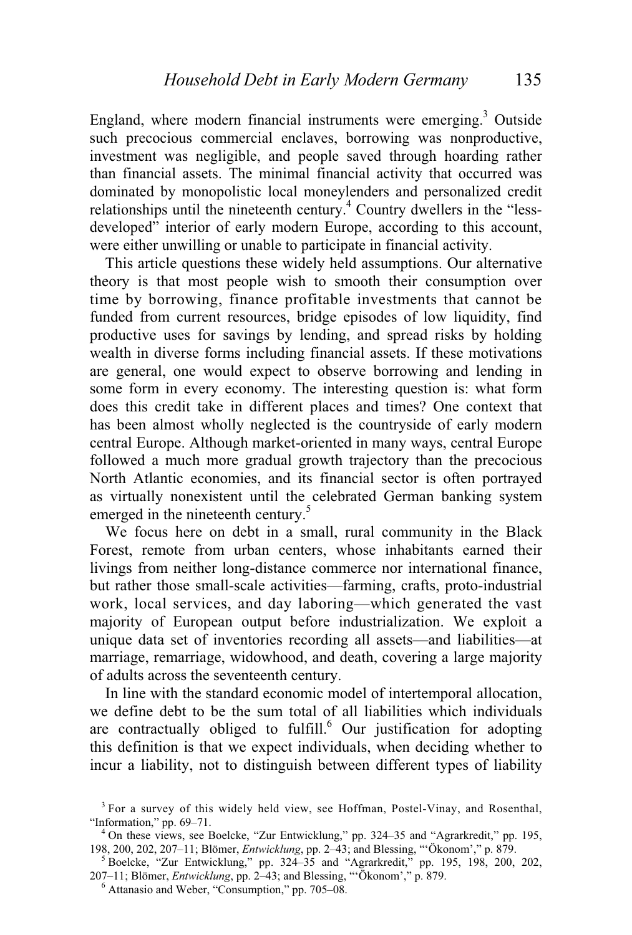England, where modern financial instruments were emerging.<sup>3</sup> Outside such precocious commercial enclaves, borrowing was nonproductive, investment was negligible, and people saved through hoarding rather than financial assets. The minimal financial activity that occurred was dominated by monopolistic local moneylenders and personalized credit relationships until the nineteenth century.<sup>4</sup> Country dwellers in the "lessdeveloped" interior of early modern Europe, according to this account, were either unwilling or unable to participate in financial activity.

 This article questions these widely held assumptions. Our alternative theory is that most people wish to smooth their consumption over time by borrowing, finance profitable investments that cannot be funded from current resources, bridge episodes of low liquidity, find productive uses for savings by lending, and spread risks by holding wealth in diverse forms including financial assets. If these motivations are general, one would expect to observe borrowing and lending in some form in every economy. The interesting question is: what form does this credit take in different places and times? One context that has been almost wholly neglected is the countryside of early modern central Europe. Although market-oriented in many ways, central Europe followed a much more gradual growth trajectory than the precocious North Atlantic economies, and its financial sector is often portrayed as virtually nonexistent until the celebrated German banking system emerged in the nineteenth century.<sup>5</sup>

 We focus here on debt in a small, rural community in the Black Forest, remote from urban centers, whose inhabitants earned their livings from neither long-distance commerce nor international finance, but rather those small-scale activities—farming, crafts, proto-industrial work, local services, and day laboring—which generated the vast majority of European output before industrialization. We exploit a unique data set of inventories recording all assets—and liabilities—at marriage, remarriage, widowhood, and death, covering a large majority of adults across the seventeenth century.

 In line with the standard economic model of intertemporal allocation, we define debt to be the sum total of all liabilities which individuals are contractually obliged to fulfill. $6$  Our justification for adopting this definition is that we expect individuals, when deciding whether to incur a liability, not to distinguish between different types of liability

 $3$  For a survey of this widely held view, see Hoffman, Postel-Vinay, and Rosenthal, "Information," pp. 69–71.

 $^4$  On these views, see Boelcke, "Zur Entwicklung," pp. 324–35 and "Agrarkredit," pp. 195, 198, 200, 202, 207–11; Blömer, *Entwicklung*, pp. 2–43; and Blessing, ""Ökonom"," p. 879. 198, 200, 202, 207–11; Blömer, *Entwicklung*, pp. 2–43; and Blessing, "'Okonom'," p. 879.<br><sup>5</sup> Boelcke, "Zur Entwicklung," pp. 324–35 and "Agrarkredit," pp. 195, 198, 200, 202,

<sup>207–11;</sup> Blömer, *Entwicklung*, pp. 2–43; and Blessing, "'Ökonom'," p. 879. <sup>6</sup> Attanasio and Weber, "Consumption," pp. 705–08.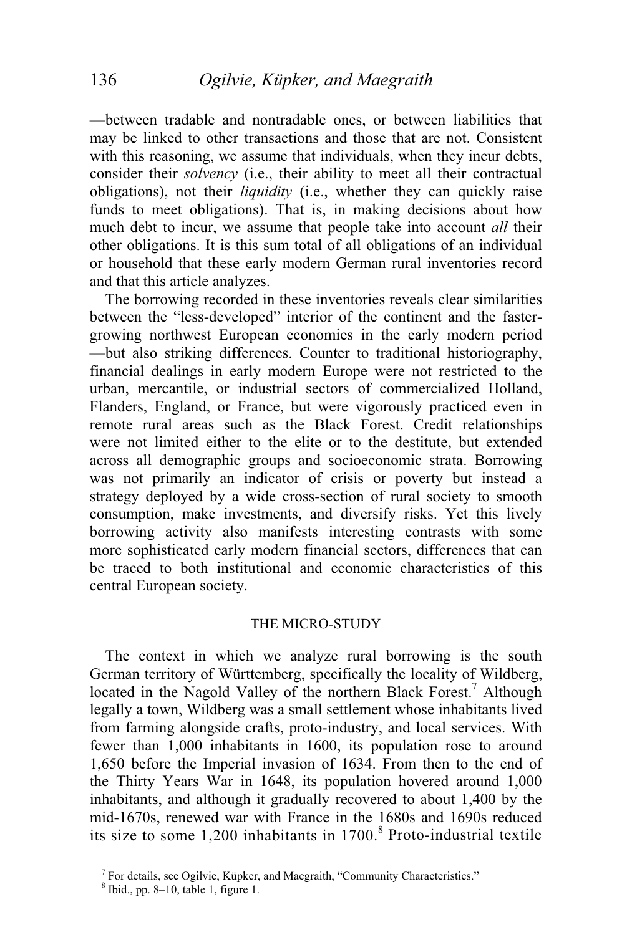—between tradable and nontradable ones, or between liabilities that may be linked to other transactions and those that are not. Consistent with this reasoning, we assume that individuals, when they incur debts, consider their *solvency* (i.e., their ability to meet all their contractual obligations), not their *liquidity* (i.e., whether they can quickly raise funds to meet obligations). That is, in making decisions about how much debt to incur, we assume that people take into account *all* their other obligations. It is this sum total of all obligations of an individual or household that these early modern German rural inventories record and that this article analyzes.

 The borrowing recorded in these inventories reveals clear similarities between the "less-developed" interior of the continent and the fastergrowing northwest European economies in the early modern period —but also striking differences. Counter to traditional historiography, financial dealings in early modern Europe were not restricted to the urban, mercantile, or industrial sectors of commercialized Holland, Flanders, England, or France, but were vigorously practiced even in remote rural areas such as the Black Forest. Credit relationships were not limited either to the elite or to the destitute, but extended across all demographic groups and socioeconomic strata. Borrowing was not primarily an indicator of crisis or poverty but instead a strategy deployed by a wide cross-section of rural society to smooth consumption, make investments, and diversify risks. Yet this lively borrowing activity also manifests interesting contrasts with some more sophisticated early modern financial sectors, differences that can be traced to both institutional and economic characteristics of this central European society.

### THE MICRO-STUDY

 The context in which we analyze rural borrowing is the south German territory of Württemberg, specifically the locality of Wildberg, located in the Nagold Valley of the northern Black Forest.<sup>7</sup> Although legally a town, Wildberg was a small settlement whose inhabitants lived from farming alongside crafts, proto-industry, and local services. With fewer than 1,000 inhabitants in 1600, its population rose to around 1,650 before the Imperial invasion of 1634. From then to the end of the Thirty Years War in 1648, its population hovered around 1,000 inhabitants, and although it gradually recovered to about 1,400 by the mid-1670s, renewed war with France in the 1680s and 1690s reduced its size to some  $1,200$  inhabitants in  $1700$ .<sup>8</sup> Proto-industrial textile

 $<sup>7</sup>$  For details, see Ogilvie, Küpker, and Maegraith, "Community Characteristics."</sup>

 $8$  Ibid., pp. 8–10, table 1, figure 1.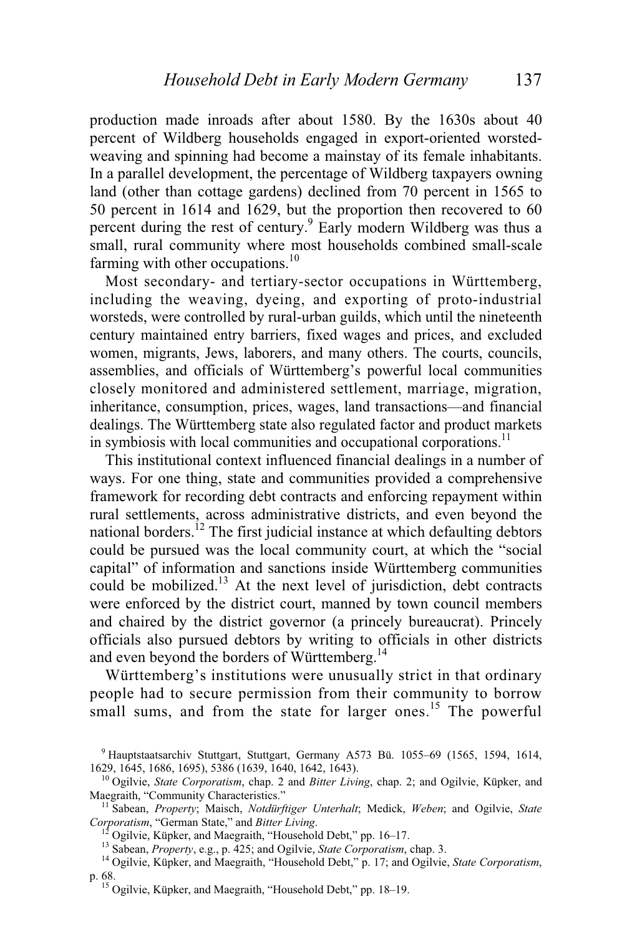production made inroads after about 1580. By the 1630s about 40 percent of Wildberg households engaged in export-oriented worstedweaving and spinning had become a mainstay of its female inhabitants. In a parallel development, the percentage of Wildberg taxpayers owning land (other than cottage gardens) declined from 70 percent in 1565 to 50 percent in 1614 and 1629, but the proportion then recovered to 60 percent during the rest of century.<sup>9</sup> Early modern Wildberg was thus a small, rural community where most households combined small-scale farming with other occupations.<sup>10</sup>

 Most secondary- and tertiary-sector occupations in Württemberg, including the weaving, dyeing, and exporting of proto-industrial worsteds, were controlled by rural-urban guilds, which until the nineteenth century maintained entry barriers, fixed wages and prices, and excluded women, migrants, Jews, laborers, and many others. The courts, councils, assemblies, and officials of Württemberg's powerful local communities closely monitored and administered settlement, marriage, migration, inheritance, consumption, prices, wages, land transactions—and financial dealings. The Württemberg state also regulated factor and product markets in symbiosis with local communities and occupational corporations.<sup>11</sup>

 This institutional context influenced financial dealings in a number of ways. For one thing, state and communities provided a comprehensive framework for recording debt contracts and enforcing repayment within rural settlements, across administrative districts, and even beyond the national borders.<sup>12</sup> The first judicial instance at which defaulting debtors could be pursued was the local community court, at which the "social capital" of information and sanctions inside Württemberg communities could be mobilized.13 At the next level of jurisdiction, debt contracts were enforced by the district court, manned by town council members and chaired by the district governor (a princely bureaucrat). Princely officials also pursued debtors by writing to officials in other districts and even beyond the borders of Württemberg.<sup>14</sup>

 Württemberg's institutions were unusually strict in that ordinary people had to secure permission from their community to borrow small sums, and from the state for larger ones.<sup>15</sup> The powerful

<sup>&</sup>lt;sup>9</sup> Hauptstaatsarchiv Stuttgart, Stuttgart, Germany A573 Bü. 1055–69 (1565, 1594, 1614, 1629, 1645, 1686, 1695), 5386 (1639, 1640, 1642, 1643).

<sup>&</sup>lt;sup>10</sup> Ogilvie, *State Corporatism*, chap. 2 and *Bitter Living*, chap. 2; and Ogilvie, Küpker, and Maegraith, "Community Characteristics."

<sup>&</sup>lt;sup>11</sup> Sabean, *Property*; Maisch, *Notdürftiger Unterhalt*; Medick, *Weben*; and Ogilvie, *State Corporatism*, "German State," and *Bitter Living*.

<sup>&</sup>lt;sup>12</sup> Ogilvie, Küpker, and Maegraith, "Household Debt," pp. 16–17.<br><sup>13</sup> Sabean, *Property*, e.g., p. 425; and Ogilvie, *State Corporatism*, chap. 3.<br><sup>14</sup> Ogilvie, Küpker, and Maegraith, "Household Debt," p. 17; and Ogilvie p. 68.<br><sup>15</sup> Ogilvie, Küpker, and Maegraith, "Household Debt," pp. 18–19.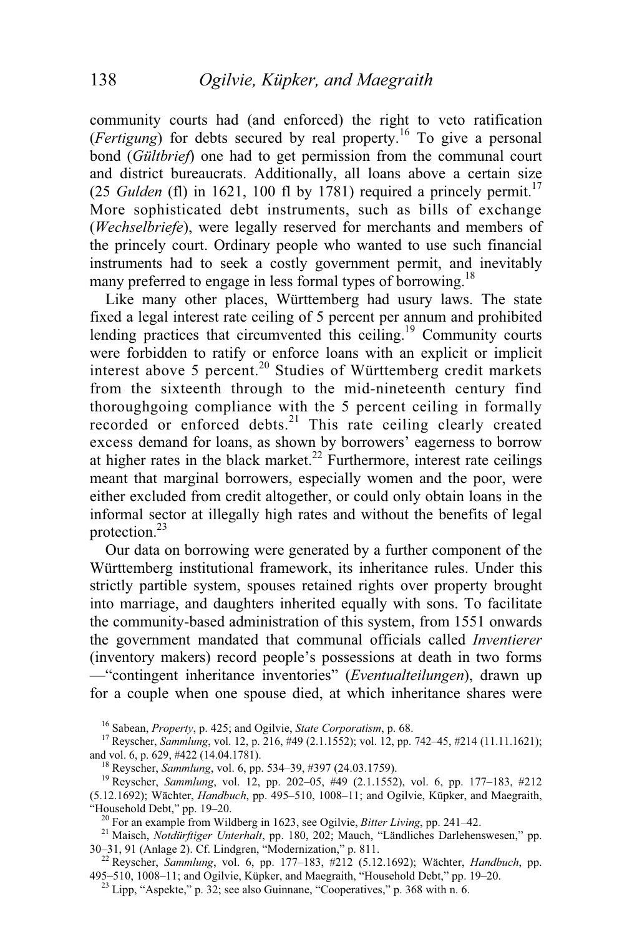community courts had (and enforced) the right to veto ratification (*Fertigung*) for debts secured by real property.16 To give a personal bond (*Gültbrief*) one had to get permission from the communal court and district bureaucrats. Additionally, all loans above a certain size (25 *Gulden* (fl) in 1621, 100 fl by 1781) required a princely permit.<sup>17</sup> More sophisticated debt instruments, such as bills of exchange (*Wechselbriefe*), were legally reserved for merchants and members of the princely court. Ordinary people who wanted to use such financial instruments had to seek a costly government permit, and inevitably many preferred to engage in less formal types of borrowing.<sup>18</sup>

 Like many other places, Württemberg had usury laws. The state fixed a legal interest rate ceiling of 5 percent per annum and prohibited lending practices that circumvented this ceiling.<sup>19</sup> Community courts were forbidden to ratify or enforce loans with an explicit or implicit interest above 5 percent.<sup>20</sup> Studies of Württemberg credit markets from the sixteenth through to the mid-nineteenth century find thoroughgoing compliance with the 5 percent ceiling in formally recorded or enforced debts.<sup>21</sup> This rate ceiling clearly created excess demand for loans, as shown by borrowers' eagerness to borrow at higher rates in the black market. $^{22}$  Furthermore, interest rate ceilings meant that marginal borrowers, especially women and the poor, were either excluded from credit altogether, or could only obtain loans in the informal sector at illegally high rates and without the benefits of legal protection.<sup>23</sup>

 Our data on borrowing were generated by a further component of the Württemberg institutional framework, its inheritance rules. Under this strictly partible system, spouses retained rights over property brought into marriage, and daughters inherited equally with sons. To facilitate the community-based administration of this system, from 1551 onwards the government mandated that communal officials called *Inventierer* (inventory makers) record people's possessions at death in two forms —"contingent inheritance inventories" (*Eventualteilungen*), drawn up for a couple when one spouse died, at which inheritance shares were

<sup>&</sup>lt;sup>16</sup> Sabean, *Property*, p. 425; and Ogilvie, *State Corporatism*, p. 68.<br><sup>17</sup> Reyscher, *Sammlung*, vol. 12, p. 216, #49 (2.1.1552); vol. 12, pp. 742–45, #214 (11.11.1621); and vol. 6, p. 629, #422 (14.04.1781).

<sup>&</sup>lt;sup>18</sup> Reyscher, *Sammlung*, vol. 6, pp. 534–39, #397 (24.03.1759).<br><sup>19</sup> Reyscher, *Sammlung*, vol. 12, pp. 202–05, #49 (2.1.1552), vol. 6, pp. 177–183, #212 (5.12.1692); Wächter, *Handbuch*, pp. 495–510, 1008–11; and Ogilvie, Küpker, and Maegraith, "Household Debt," pp. 19–20.

<sup>&</sup>lt;sup>20</sup> For an example from Wildberg in 1623, see Ogilvie, *Bitter Living*, pp. 241–42.<br><sup>21</sup> Maisch, *Notdürftiger Unterhalt*, pp. 180, 202; Mauch, "Ländliches Darlehenswesen," pp. 3031, 91 (Anlage 2). Cf. Lindgren, "Modernization," p. 811.

<sup>&</sup>lt;sup>22</sup> Reyscher, *Sammlung*, vol. 6, pp. 177–183,  $\#212$  (5.12.1692); Wächter, *Handbuch*, pp. 495–510, 1008–11; and Ogilvie, Küpker, and Maegraith, "Household Debt," pp. 19–20.

 $^{23}$  Lipp, "Aspekte," p. 32; see also Guinnane, "Cooperatives," p. 368 with n. 6.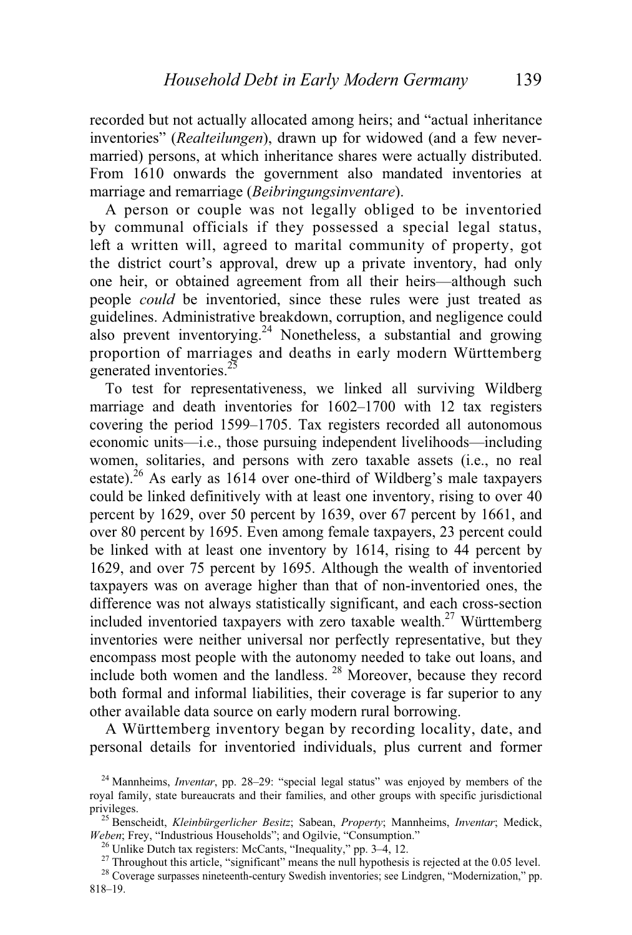recorded but not actually allocated among heirs; and "actual inheritance inventories" (*Realteilungen*), drawn up for widowed (and a few nevermarried) persons, at which inheritance shares were actually distributed. From 1610 onwards the government also mandated inventories at marriage and remarriage (*Beibringungsinventare*).

 A person or couple was not legally obliged to be inventoried by communal officials if they possessed a special legal status, left a written will, agreed to marital community of property, got the district court's approval, drew up a private inventory, had only one heir, or obtained agreement from all their heirs—although such people *could* be inventoried, since these rules were just treated as guidelines. Administrative breakdown, corruption, and negligence could also prevent inventorying.<sup>24</sup> Nonetheless, a substantial and growing proportion of marriages and deaths in early modern Württemberg generated inventories.<sup>25</sup>

 To test for representativeness, we linked all surviving Wildberg marriage and death inventories for  $1602-1700$  with 12 tax registers covering the period 1599–1705. Tax registers recorded all autonomous economic units—i.e., those pursuing independent livelihoods—including women, solitaries, and persons with zero taxable assets (i.e., no real estate).<sup>26</sup> As early as 1614 over one-third of Wildberg's male taxpayers could be linked definitively with at least one inventory, rising to over 40 percent by 1629, over 50 percent by 1639, over 67 percent by 1661, and over 80 percent by 1695. Even among female taxpayers, 23 percent could be linked with at least one inventory by 1614, rising to 44 percent by 1629, and over 75 percent by 1695. Although the wealth of inventoried taxpayers was on average higher than that of non-inventoried ones, the difference was not always statistically significant, and each cross-section included inventoried taxpayers with zero taxable wealth.<sup>27</sup> Württemberg inventories were neither universal nor perfectly representative, but they encompass most people with the autonomy needed to take out loans, and include both women and the landless. 28 Moreover, because they record both formal and informal liabilities, their coverage is far superior to any other available data source on early modern rural borrowing.

A Württemberg inventory began by recording locality, date, and personal details for inventoried individuals, plus current and former

<sup>&</sup>lt;sup>24</sup> Mannheims, *Inventar*, pp. 28-29: "special legal status" was enjoyed by members of the royal family, state bureaucrats and their families, and other groups with specific jurisdictional

<sup>&</sup>lt;sup>25</sup> Benscheidt, *Kleinbürgerlicher Besitz*; Sabean, *Property*; Mannheims, *Inventar*; Medick, *Weben*; Frey, "Industrious Households"; and Ogilvie, "Consumption."

<sup>&</sup>lt;sup>26</sup> Unlike Dutch tax registers: McCants, "Inequality," pp. 3–4, 12.<br><sup>27</sup> Throughout this article, "significant" means the null hypothesis is rejected at the 0.05 level.<br><sup>28</sup> Coverage surpasses nineteenth-century Swedish 818-19.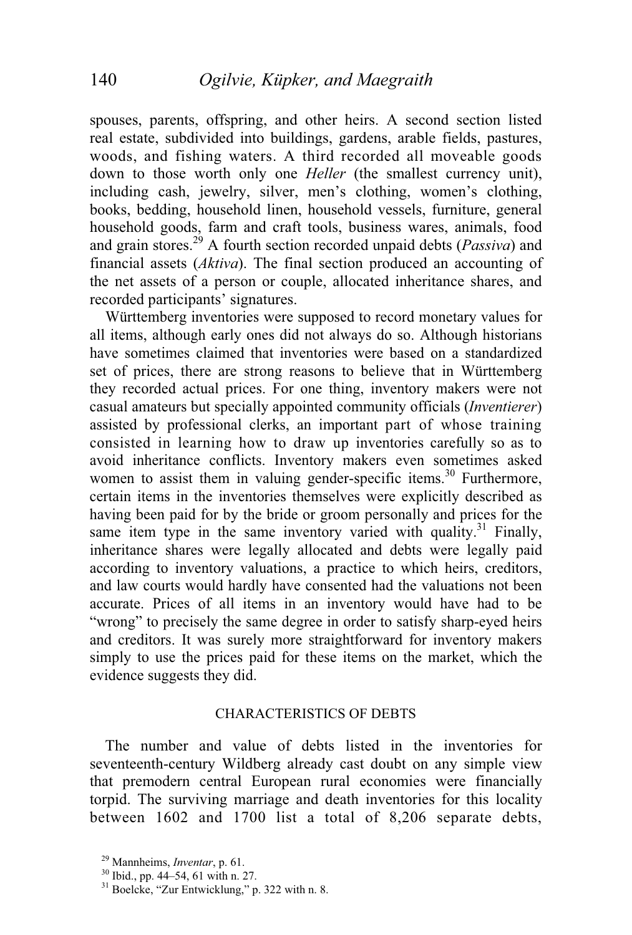spouses, parents, offspring, and other heirs. A second section listed real estate, subdivided into buildings, gardens, arable fields, pastures, woods, and fishing waters. A third recorded all moveable goods down to those worth only one *Heller* (the smallest currency unit), including cash, jewelry, silver, men's clothing, women's clothing, books, bedding, household linen, household vessels, furniture, general household goods, farm and craft tools, business wares, animals, food and grain stores.29 A fourth section recorded unpaid debts (*Passiva*) and financial assets (*Aktiva*). The final section produced an accounting of the net assets of a person or couple, allocated inheritance shares, and recorded participants' signatures.

 Württemberg inventories were supposed to record monetary values for all items, although early ones did not always do so. Although historians have sometimes claimed that inventories were based on a standardized set of prices, there are strong reasons to believe that in Württemberg they recorded actual prices. For one thing, inventory makers were not casual amateurs but specially appointed community officials (*Inventierer*) assisted by professional clerks, an important part of whose training consisted in learning how to draw up inventories carefully so as to avoid inheritance conflicts. Inventory makers even sometimes asked women to assist them in valuing gender-specific items.<sup>30</sup> Furthermore, certain items in the inventories themselves were explicitly described as having been paid for by the bride or groom personally and prices for the same item type in the same inventory varied with quality.<sup>31</sup> Finally, inheritance shares were legally allocated and debts were legally paid according to inventory valuations, a practice to which heirs, creditors, and law courts would hardly have consented had the valuations not been accurate. Prices of all items in an inventory would have had to be "wrong" to precisely the same degree in order to satisfy sharp-eyed heirs and creditors. It was surely more straightforward for inventory makers simply to use the prices paid for these items on the market, which the evidence suggests they did.

### CHARACTERISTICS OF DEBTS

 The number and value of debts listed in the inventories for seventeenth-century Wildberg already cast doubt on any simple view that premodern central European rural economies were financially torpid. The surviving marriage and death inventories for this locality between 1602 and 1700 list a total of 8,206 separate debts,

<sup>&</sup>lt;sup>29</sup> Mannheims, *Inventar*, p. 61.<br><sup>30</sup> Ibid., pp. 44–54, 61 with n. 27.<br><sup>31</sup> Boelcke, "Zur Entwicklung," p. 322 with n. 8.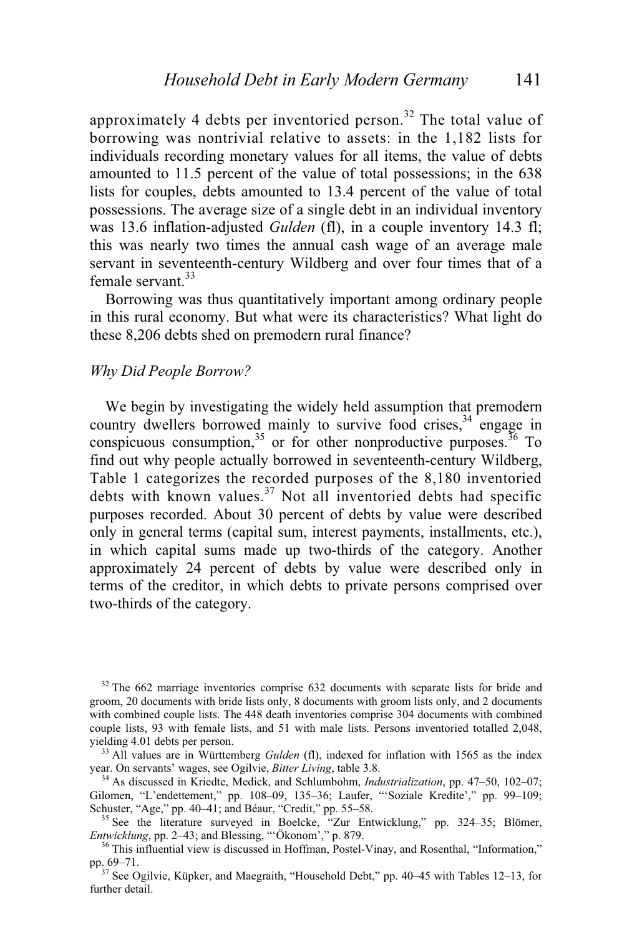approximately 4 debts per inventoried person.<sup>32</sup> The total value of borrowing was nontrivial relative to assets: in the 1,182 lists for individuals recording monetary values for all items, the value of debts amounted to 11.5 percent of the value of total possessions; in the 638 lists for couples, debts amounted to 13.4 percent of the value of total possessions. The average size of a single debt in an individual inventory was 13.6 inflation-adjusted *Gulden* (fl), in a couple inventory 14.3 fl; this was nearly two times the annual cash wage of an average male servant in seventeenth-century Wildberg and over four times that of a female servant.<sup>33</sup>

 Borrowing was thus quantitatively important among ordinary people in this rural economy. But what were its characteristics? What light do these 8,206 debts shed on premodern rural finance?

### *Why Did People Borrow?*

 We begin by investigating the widely held assumption that premodern country dwellers borrowed mainly to survive food crises,<sup>34</sup> engage in conspicuous consumption,<sup>35</sup> or for other nonproductive purposes.<sup>36</sup> To find out why people actually borrowed in seventeenth-century Wildberg, Table 1 categorizes the recorded purposes of the 8,180 inventoried debts with known values. $37$  Not all inventoried debts had specific purposes recorded. About 30 percent of debts by value were described only in general terms (capital sum, interest payments, installments, etc.), in which capital sums made up two-thirds of the category. Another approximately 24 percent of debts by value were described only in terms of the creditor, in which debts to private persons comprised over two-thirds of the category.

 $32$  The 662 marriage inventories comprise 632 documents with separate lists for bride and groom, 20 documents with bride lists only, 8 documents with groom lists only, and 2 documents with combined couple lists. The 448 death inventories comprise 304 documents with combined couple lists, 93 with female lists, and 51 with male lists. Persons inventoried totalled 2,048, yielding 4.01 debts per person. 33 All values are in Württemberg *Gulden* (fl), indexed for inflation with 1565 as the index

year. On servants' wages, see Ogilvie, *Bitter Living*, table 3.8.<br><sup>34</sup> As discussed in Kriedte, Medick, and Schlumbohm, *Industrialization*, pp. 47–50, 102–07;

Gilomen, "L'endettement," pp. 108–09, 135–36; Laufer, "'Soziale Kredite'," pp. 99–109; Schuster, "Age," pp. 40–41; and Béaur, "Credit," pp. 55–58.

Schuster, "Age," pp. 40–41; and Béaur, "Credit," pp. 55–58.<br><sup>35</sup> See the literature surveyed in Boelcke, "Zur Entwicklung," pp. 324–35; Blömer,

*Entwicklung*, pp. 2–43; and Blessing, "'Ökonom'," p. 879.<br><sup>36</sup> This influential view is discussed in Hoffman, Postel-Vinay, and Rosenthal, "Information," pp. 69–71.<br> $37$  See Ogilvie, Küpker, and Maegraith, "Household Debt," pp. 40–45 with Tables 12–13, for

further detail.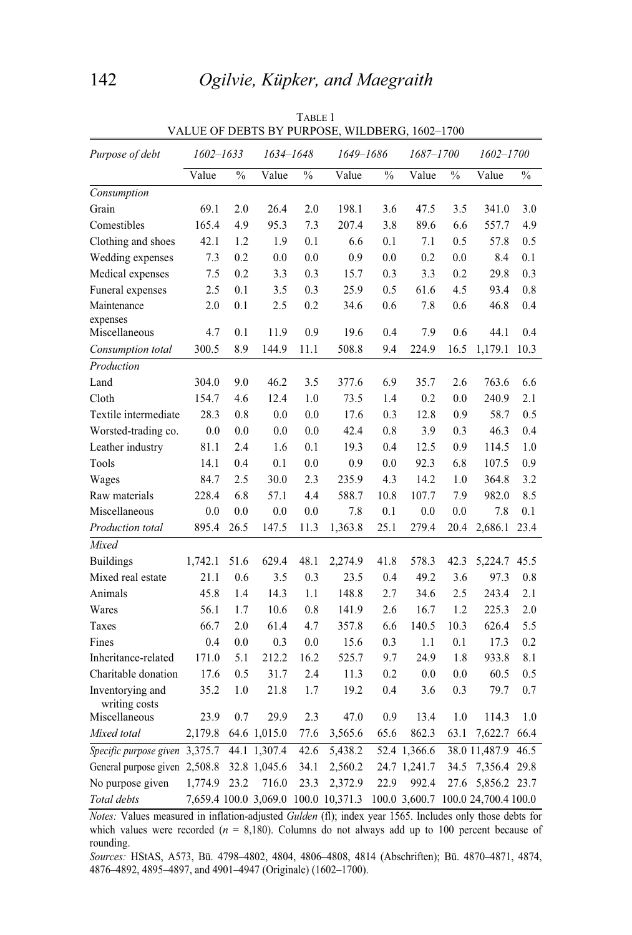| Purpose of debt                   | 1602-1633 |      | 1634-1648             |               | 1649-1686      |      | 1687-1700     |               | 1602-1700            |               |
|-----------------------------------|-----------|------|-----------------------|---------------|----------------|------|---------------|---------------|----------------------|---------------|
|                                   | Value     | $\%$ | Value                 | $\frac{0}{0}$ | Value          | $\%$ | Value         | $\frac{0}{0}$ | Value                | $\frac{0}{0}$ |
| Consumption                       |           |      |                       |               |                |      |               |               |                      |               |
| Grain                             | 69.1      | 2.0  | 26.4                  | 2.0           | 198.1          | 3.6  | 47.5          | 3.5           | 341.0                | 3.0           |
| Comestibles                       | 165.4     | 4.9  | 95.3                  | 7.3           | 207.4          | 3.8  | 89.6          | 6.6           | 557.7                | 4.9           |
| Clothing and shoes                | 42.1      | 1.2  | 1.9                   | 0.1           | 6.6            | 0.1  | 7.1           | 0.5           | 57.8                 | 0.5           |
| Wedding expenses                  | 7.3       | 0.2  | 0.0                   | 0.0           | 0.9            | 0.0  | 0.2           | 0.0           | 8.4                  | 0.1           |
| Medical expenses                  | 7.5       | 0.2  | 3.3                   | 0.3           | 15.7           | 0.3  | 3.3           | 0.2           | 29.8                 | 0.3           |
| Funeral expenses                  | 2.5       | 0.1  | 3.5                   | 0.3           | 25.9           | 0.5  | 61.6          | 4.5           | 93.4                 | 0.8           |
| Maintenance                       | 2.0       | 0.1  | 2.5                   | 0.2           | 34.6           | 0.6  | 7.8           | 0.6           | 46.8                 | 0.4           |
| expenses                          |           |      |                       |               |                |      |               |               |                      |               |
| Miscellaneous                     | 4.7       | 0.1  | 11.9                  | 0.9           | 19.6           | 0.4  | 7.9           | 0.6           | 44.1                 | 0.4           |
| Consumption total                 | 300.5     | 8.9  | 144.9                 | 11.1          | 508.8          | 9.4  | 224.9         | 16.5          | 1,179.1              | 10.3          |
| Production                        |           |      |                       |               |                |      |               |               |                      |               |
| Land                              | 304.0     | 9.0  | 46.2                  | 3.5           | 377.6          | 6.9  | 35.7          | 2.6           | 763.6                | 6.6           |
| Cloth                             | 154.7     | 4.6  | 12.4                  | 1.0           | 73.5           | 1.4  | 0.2           | 0.0           | 240.9                | 2.1           |
| Textile intermediate              | 28.3      | 0.8  | 0.0                   | 0.0           | 17.6           | 0.3  | 12.8          | 0.9           | 58.7                 | 0.5           |
| Worsted-trading co.               | 0.0       | 0.0  | 0.0                   | 0.0           | 42.4           | 0.8  | 3.9           | 0.3           | 46.3                 | 0.4           |
| Leather industry                  | 81.1      | 2.4  | 1.6                   | 0.1           | 19.3           | 0.4  | 12.5          | 0.9           | 114.5                | 1.0           |
| Tools                             | 14.1      | 0.4  | 0.1                   | 0.0           | 0.9            | 0.0  | 92.3          | 6.8           | 107.5                | 0.9           |
| Wages                             | 84.7      | 2.5  | 30.0                  | 2.3           | 235.9          | 4.3  | 14.2          | 1.0           | 364.8                | 3.2           |
| Raw materials                     | 228.4     | 6.8  | 57.1                  | 4.4           | 588.7          | 10.8 | 107.7         | 7.9           | 982.0                | 8.5           |
| Miscellaneous                     | 0.0       | 0.0  | 0.0                   | 0.0           | 7.8            | 0.1  | 0.0           | 0.0           | 7.8                  | 0.1           |
| Production total                  | 895.4     | 26.5 | 147.5                 | 11.3          | 1,363.8        | 25.1 | 279.4         | 20.4          | 2,686.1              | 23.4          |
| Mixed                             |           |      |                       |               |                |      |               |               |                      |               |
| <b>Buildings</b>                  | 1,742.1   | 51.6 | 629.4                 | 48.1          | 2,274.9        | 41.8 | 578.3         | 42.3          | 5,224.7              | 45.5          |
| Mixed real estate                 | 21.1      | 0.6  | 3.5                   | 0.3           | 23.5           | 0.4  | 49.2          | 3.6           | 97.3                 | 0.8           |
| Animals                           | 45.8      | 1.4  | 14.3                  | 1.1           | 148.8          | 2.7  | 34.6          | 2.5           | 243.4                | 2.1           |
| Wares                             | 56.1      | 1.7  | 10.6                  | 0.8           | 141.9          | 2.6  | 16.7          | 1.2           | 225.3                | 2.0           |
| Taxes                             | 66.7      | 2.0  | 61.4                  | 4.7           | 357.8          | 6.6  | 140.5         | 10.3          | 626.4                | 5.5           |
| Fines                             | 0.4       | 0.0  | 0.3                   | 0.0           | 15.6           | 0.3  | 1.1           | 0.1           | 17.3                 | 0.2           |
| Inheritance-related               | 171.0     | 5.1  | 212.2                 | 16.2          | 525.7          | 9.7  | 24.9          | 1.8           | 933.8                | 8.1           |
| Charitable donation               | 17.6      | 0.5  | 31.7                  | 2.4           | 11.3           | 0.2  | 0.0           | 0.0           | 60.5                 | 0.5           |
| Inventorying and<br>writing costs | 35.2      | 1.0  | 21.8                  | 1.7           | 19.2           | 0.4  | 3.6           | 0.3           | 79.7                 | 0.7           |
| Miscellaneous                     | 23.9      | 0.7  | 29.9                  | 2.3           | 47.0           | 0.9  | 13.4          | 1.0           | 114.3                | 1.0           |
| Mixed total                       | 2,179.8   |      | 64.6 1,015.0          | 77.6          | 3,565.6        | 65.6 | 862.3         | 63.1          | 7,622.7              | 66.4          |
| Specific purpose given            | 3,375.7   |      | 44.1 1,307.4          | 42.6          | 5,438.2        |      | 52.4 1,366.6  |               | 38.0 11,487.9        | 46.5          |
| General purpose given 2,508.8     |           |      | 32.8 1,045.6          | 34.1          | 2,560.2        |      | 24.7 1,241.7  | 34.5          | 7,356.4              | 29.8          |
| No purpose given                  | 1,774.9   | 23.2 | 716.0                 | 23.3          | 2,372.9        | 22.9 | 992.4         | 27.6          | 5,856.2 23.7         |               |
| Total debts                       |           |      | 7,659.4 100.0 3,069.0 |               | 100.0 10,371.3 |      | 100.0 3,600.7 |               | 100.0 24,700.4 100.0 |               |

TABLE 1 VALUE OF DEBTS BY PURPOSE, WILDBERG, 1602-1700

*Notes:* Values measured in inflation-adjusted *Gulden* (fl); index year 1565. Includes only those debts for which values were recorded ( $n = 8,180$ ). Columns do not always add up to 100 percent because of rounding.

Sources: HStAS, A573, Bü. 4798-4802, 4804, 4806-4808, 4814 (Abschriften); Bü. 4870-4871, 4874, 4876-4892, 4895-4897, and 4901-4947 (Originale) (1602-1700).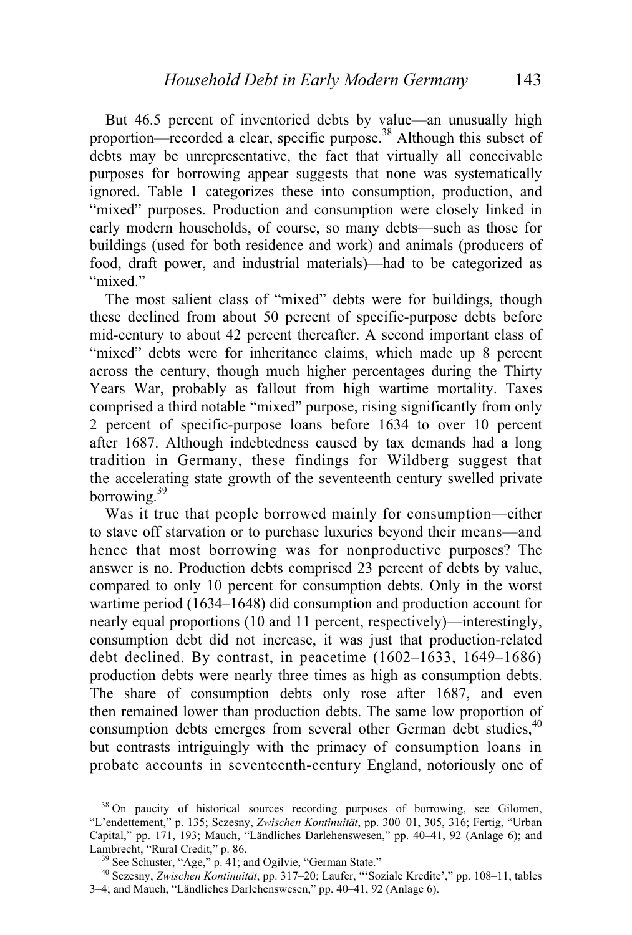But 46.5 percent of inventoried debts by value—an unusually high proportion—recorded a clear, specific purpose.38 Although this subset of debts may be unrepresentative, the fact that virtually all conceivable purposes for borrowing appear suggests that none was systematically ignored. Table 1 categorizes these into consumption, production, and "mixed" purposes. Production and consumption were closely linked in early modern households, of course, so many debts—such as those for buildings (used for both residence and work) and animals (producers of food, draft power, and industrial materials)—had to be categorized as "mixed"

 The most salient class of "mixed" debts were for buildings, though these declined from about 50 percent of specific-purpose debts before mid-century to about 42 percent thereafter. A second important class of "mixed" debts were for inheritance claims, which made up 8 percent across the century, though much higher percentages during the Thirty Years War, probably as fallout from high wartime mortality. Taxes comprised a third notable "mixed" purpose, rising significantly from only 2 percent of specific-purpose loans before 1634 to over 10 percent after 1687. Although indebtedness caused by tax demands had a long tradition in Germany, these findings for Wildberg suggest that the accelerating state growth of the seventeenth century swelled private borrowing.<sup>39</sup>

 Was it true that people borrowed mainly for consumption—either to stave off starvation or to purchase luxuries beyond their means—and hence that most borrowing was for nonproductive purposes? The answer is no. Production debts comprised 23 percent of debts by value, compared to only 10 percent for consumption debts. Only in the worst wartime period  $(1634-1648)$  did consumption and production account for nearly equal proportions (10 and 11 percent, respectively)—interestingly, consumption debt did not increase, it was just that production-related debt declined. By contrast, in peacetime  $(1602-1633, 1649-1686)$ production debts were nearly three times as high as consumption debts. The share of consumption debts only rose after 1687, and even then remained lower than production debts. The same low proportion of consumption debts emerges from several other German debt studies,<sup>40</sup> but contrasts intriguingly with the primacy of consumption loans in probate accounts in seventeenth-century England, notoriously one of

<sup>&</sup>lt;sup>38</sup> On paucity of historical sources recording purposes of borrowing, see Gilomen, "L'endettement," p. 135; Sczesny, *Zwischen Kontinuität*, pp. 300–01, 305, 316; Fertig, "Urban Capital," pp. 171, 193; Mauch, "Ländliches Darlehenswesen," pp. 40–41, 92 (Anlage 6); and Lambrecht, "Rural Credit," p. 86.

<sup>&</sup>lt;sup>39</sup> See Schuster, "Age," p. 41; and Ogilvie, "German State." <br><sup>40</sup> Sczesny, *Zwischen Kontinuität*, pp. 317–20; Laufer, "'Soziale Kredite'," pp. 108–11, tables 3–4; and Mauch, "Ländliches Darlehenswesen," pp. 40–41, 92 (Anlage 6).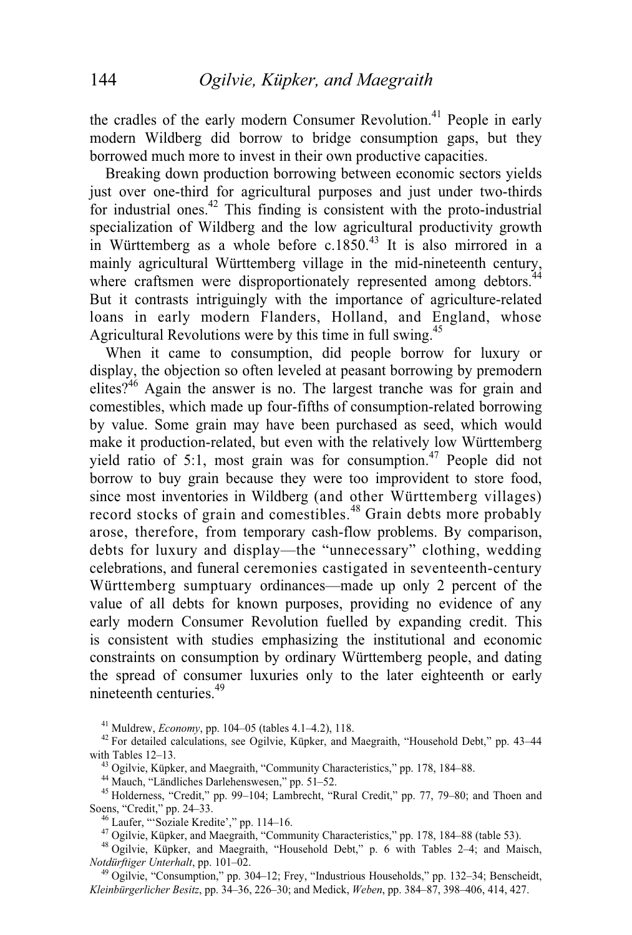the cradles of the early modern Consumer Revolution.<sup>41</sup> People in early modern Wildberg did borrow to bridge consumption gaps, but they borrowed much more to invest in their own productive capacities.

 Breaking down production borrowing between economic sectors yields just over one-third for agricultural purposes and just under two-thirds for industrial ones.<sup>42</sup> This finding is consistent with the proto-industrial specialization of Wildberg and the low agricultural productivity growth in Württemberg as a whole before  $c.1850<sup>43</sup>$  It is also mirrored in a mainly agricultural Württemberg village in the mid-nineteenth century, where craftsmen were disproportionately represented among debtors.<sup>44</sup> But it contrasts intriguingly with the importance of agriculture-related loans in early modern Flanders, Holland, and England, whose Agricultural Revolutions were by this time in full swing.<sup>45</sup>

 When it came to consumption, did people borrow for luxury or display, the objection so often leveled at peasant borrowing by premodern elites?46 Again the answer is no. The largest tranche was for grain and comestibles, which made up four-fifths of consumption-related borrowing by value. Some grain may have been purchased as seed, which would make it production-related, but even with the relatively low Württemberg yield ratio of 5:1, most grain was for consumption.<sup>47</sup> People did not borrow to buy grain because they were too improvident to store food, since most inventories in Wildberg (and other Württemberg villages) record stocks of grain and comestibles.<sup>48</sup> Grain debts more probably arose, therefore, from temporary cash-flow problems. By comparison, debts for luxury and display—the "unnecessary" clothing, wedding celebrations, and funeral ceremonies castigated in seventeenth-century Württemberg sumptuary ordinances—made up only 2 percent of the value of all debts for known purposes, providing no evidence of any early modern Consumer Revolution fuelled by expanding credit. This is consistent with studies emphasizing the institutional and economic constraints on consumption by ordinary Württemberg people, and dating the spread of consumer luxuries only to the later eighteenth or early nineteenth centuries.49

<sup>46</sup> Laufer, "Soziale Kredite'," pp. 114–16.<br><sup>47</sup> Ogilvie, Küpker, and Maegraith, "Community Characteristics," pp. 178, 184–88 (table 53).<br><sup>48</sup> Ogilvie, Küpker, and Maegraith, "Household Debt," p. 6 with Tables 2–4; and M *Notdürftiger Unterhalt*, pp. 101–02.<br><sup>49</sup> Ogilvie, "Consumption," pp. 304–12; Frey, "Industrious Households," pp. 132–34; Benscheidt,

*Kleinbürgerlicher Besitz*, pp. 34–36, 226–30; and Medick, *Weben*, pp. 384–87, 398–406, 414, 427.

<sup>&</sup>lt;sup>41</sup> Muldrew, *Economy*, pp. 104–05 (tables 4.1–4.2), 118.<br><sup>42</sup> For detailed calculations, see Ogilvie, Küpker, and Maegraith, "Household Debt," pp. 43–44<br>with Tables 12–13.

<sup>&</sup>lt;sup>43</sup> Ogilvie, Küpker, and Maegraith, "Community Characteristics," pp. 178, 184–88.<br><sup>44</sup> Mauch, "Ländliches Darlehenswesen," pp. 51–52.<br><sup>45</sup> Holderness, "Credit," pp. 99–104; Lambrecht, "Rural Credit," pp. 77, 79–80; and T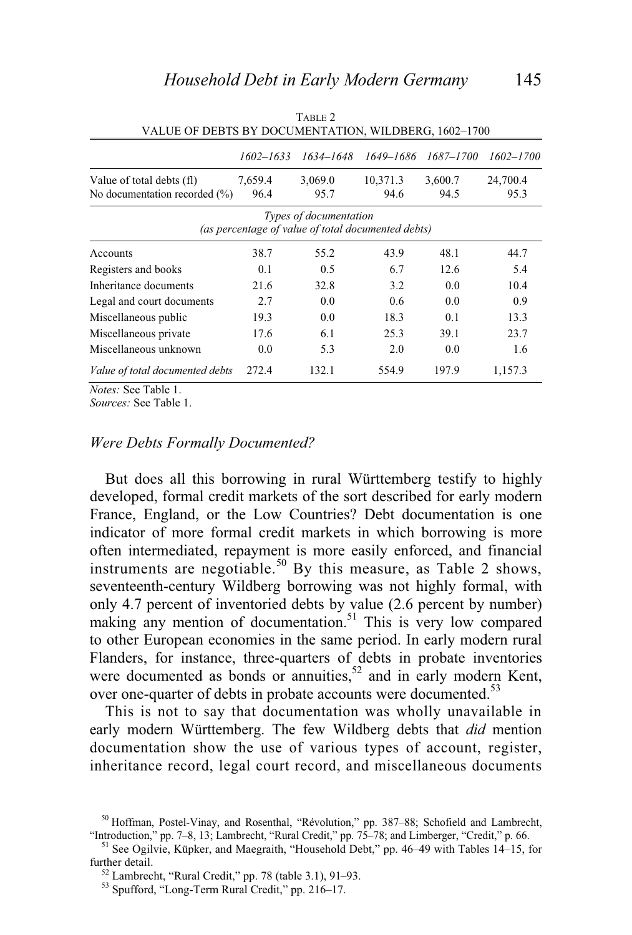|                                   | $1602 - 1633$ | 1634–1648                                                                    | $1649 - 1686$ | 1687-1700 | 1602-1700 |
|-----------------------------------|---------------|------------------------------------------------------------------------------|---------------|-----------|-----------|
| Value of total debts (fl)         | 7,659.4       | 3,069.0                                                                      | 10,371.3      | 3,600.7   | 24,700.4  |
| No documentation recorded $(\% )$ | 96.4          | 95.7                                                                         | 94.6          | 94.5      | 95.3      |
|                                   |               | Types of documentation<br>(as percentage of value of total documented debts) |               |           |           |
| Accounts                          | 38.7          | 55.2                                                                         | 43.9          | 48.1      | 44.7      |
| Registers and books               | 0.1           | 0.5                                                                          | 6.7           | 12.6      | 5.4       |
| Inheritance documents             | 21.6          | 32.8                                                                         | 3.2           | 0.0       | 10.4      |
| Legal and court documents         | 2.7           | 0.0                                                                          | 0.6           | 0.0       | 0.9       |
| Miscellaneous public              | 19.3          | 0.0                                                                          | 18.3          | 0.1       | 13.3      |
| Miscellaneous private             | 17.6          | 6.1                                                                          | 25.3          | 39.1      | 23.7      |
| Miscellaneous unknown             | 0.0           | 5.3                                                                          | 2.0           | 0.0       | 1.6       |
| Value of total documented debts   | 272.4         | 132.1                                                                        | 554.9         | 197.9     | 1,157.3   |

TABLE 2 VALUE OF DEBTS BY DOCUMENTATION, WILDBERG, 16021700

*Notes:* See Table 1.

*Sources:* See Table 1.

### *Were Debts Formally Documented?*

 But does all this borrowing in rural Württemberg testify to highly developed, formal credit markets of the sort described for early modern France, England, or the Low Countries? Debt documentation is one indicator of more formal credit markets in which borrowing is more often intermediated, repayment is more easily enforced, and financial instruments are negotiable.<sup>50</sup> By this measure, as Table 2 shows, seventeenth-century Wildberg borrowing was not highly formal, with only 4.7 percent of inventoried debts by value (2.6 percent by number) making any mention of documentation.<sup>51</sup> This is very low compared to other European economies in the same period. In early modern rural Flanders, for instance, three-quarters of debts in probate inventories were documented as bonds or annuities,  $52$  and in early modern Kent, over one-quarter of debts in probate accounts were documented.<sup>53</sup>

 This is not to say that documentation was wholly unavailable in early modern Württemberg. The few Wildberg debts that *did* mention documentation show the use of various types of account, register, inheritance record, legal court record, and miscellaneous documents

<sup>&</sup>lt;sup>50</sup> Hoffman, Postel-Vinay, and Rosenthal, "Révolution," pp. 387–88; Schofield and Lambrecht, "Introduction," pp. 7–8, 13; Lambrecht, "Rural Credit," pp. 75–78; and Limberger, "Credit," p. 66.

<sup>&</sup>lt;sup>51</sup> See Ogilvie, Küpker, and Maegraith, "Household Debt," pp. 46–49 with Tables 14–15, for further detail.

<sup>&</sup>lt;sup>52</sup> Lambrecht, "Rural Credit," pp. 78 (table 3.1), 91–93.<br><sup>53</sup> Spufford, "Long-Term Rural Credit," pp. 216–17.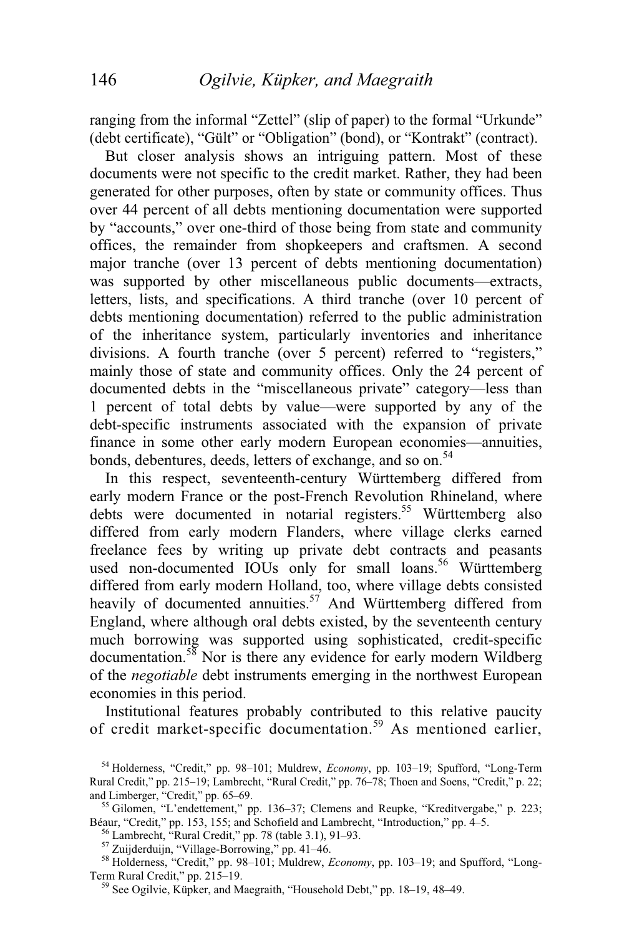ranging from the informal "Zettel" (slip of paper) to the formal "Urkunde" (debt certificate), "Gült" or "Obligation" (bond), or "Kontrakt" (contract).

 But closer analysis shows an intriguing pattern. Most of these documents were not specific to the credit market. Rather, they had been generated for other purposes, often by state or community offices. Thus over 44 percent of all debts mentioning documentation were supported by "accounts," over one-third of those being from state and community offices, the remainder from shopkeepers and craftsmen. A second major tranche (over 13 percent of debts mentioning documentation) was supported by other miscellaneous public documents—extracts, letters, lists, and specifications. A third tranche (over 10 percent of debts mentioning documentation) referred to the public administration of the inheritance system, particularly inventories and inheritance divisions. A fourth tranche (over 5 percent) referred to "registers," mainly those of state and community offices. Only the 24 percent of documented debts in the "miscellaneous private" category—less than 1 percent of total debts by value—were supported by any of the debt-specific instruments associated with the expansion of private finance in some other early modern European economies—annuities, bonds, debentures, deeds, letters of exchange, and so on.<sup>54</sup>

 In this respect, seventeenth-century Württemberg differed from early modern France or the post-French Revolution Rhineland, where debts were documented in notarial registers.<sup>55</sup> Württemberg also differed from early modern Flanders, where village clerks earned freelance fees by writing up private debt contracts and peasants used non-documented IOUs only for small loans.<sup>56</sup> Württemberg differed from early modern Holland, too, where village debts consisted heavily of documented annuities.<sup>57</sup> And Württemberg differed from England, where although oral debts existed, by the seventeenth century much borrowing was supported using sophisticated, credit-specific documentation.<sup>58</sup> Nor is there any evidence for early modern Wildberg of the *negotiable* debt instruments emerging in the northwest European economies in this period.

 Institutional features probably contributed to this relative paucity of credit market-specific documentation.<sup>59</sup> As mentioned earlier,

<sup>59</sup> See Ogilvie, Küpker, and Maegraith, "Household Debt," pp. 18–19, 48–49.

<sup>&</sup>lt;sup>54</sup> Holderness, "Credit," pp. 98-101; Muldrew, *Economy*, pp. 103-19; Spufford, "Long-Term Rural Credit," pp. 215–19; Lambrecht, "Rural Credit," pp. 76–78; Thoen and Soens, "Credit," p. 22; and Limberger, "Credit," pp. 65–69.

<sup>&</sup>lt;sup>55</sup> Gilomen, "L'endettement," pp. 136–37; Clemens and Reupke, "Kreditvergabe," p. 223; Béaur, "Credit," pp. 153, 155; and Schofield and Lambrecht, "Introduction," pp. 4–5.

<sup>&</sup>lt;sup>56</sup> Lambrecht, "Rural Credit," pp. 78 (table 3.1), 91–93.<br><sup>57</sup> Zuijderduijn, "Village-Borrowing," pp. 41–46.<br><sup>58</sup> Holderness, "Credit," pp. 98–101; Muldrew, *Economy*, pp. 103–19; and Spufford, "Long-<br>Term Rural Credit,"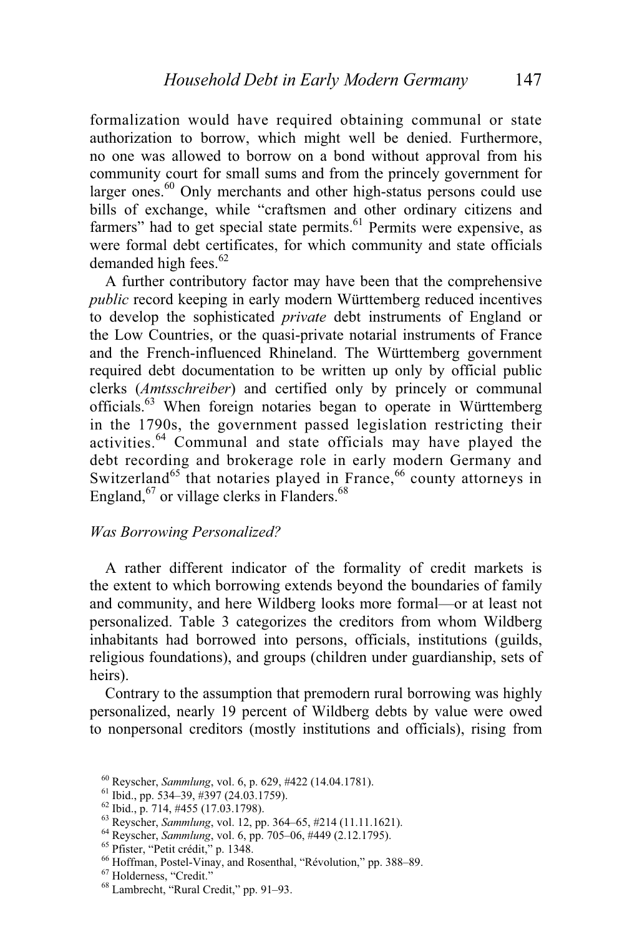formalization would have required obtaining communal or state authorization to borrow, which might well be denied. Furthermore, no one was allowed to borrow on a bond without approval from his community court for small sums and from the princely government for larger ones.<sup>60</sup> Only merchants and other high-status persons could use bills of exchange, while "craftsmen and other ordinary citizens and farmers" had to get special state permits.<sup>61</sup> Permits were expensive, as were formal debt certificates, for which community and state officials demanded high fees. $62$ 

 A further contributory factor may have been that the comprehensive *public* record keeping in early modern Württemberg reduced incentives to develop the sophisticated *private* debt instruments of England or the Low Countries, or the quasi-private notarial instruments of France and the French-influenced Rhineland. The Württemberg government required debt documentation to be written up only by official public clerks (*Amtsschreiber*) and certified only by princely or communal officials.63 When foreign notaries began to operate in Württemberg in the 1790s, the government passed legislation restricting their activities.64 Communal and state officials may have played the debt recording and brokerage role in early modern Germany and Switzerland<sup>65</sup> that notaries played in France,<sup>66</sup> county attorneys in England, $67$  or village clerks in Flanders. $68$ 

# *Was Borrowing Personalized?*

 A rather different indicator of the formality of credit markets is the extent to which borrowing extends beyond the boundaries of family and community, and here Wildberg looks more formal—or at least not personalized. Table 3 categorizes the creditors from whom Wildberg inhabitants had borrowed into persons, officials, institutions (guilds, religious foundations), and groups (children under guardianship, sets of heirs).

 Contrary to the assumption that premodern rural borrowing was highly personalized, nearly 19 percent of Wildberg debts by value were owed to nonpersonal creditors (mostly institutions and officials), rising from

- 
- 
- <sup>60</sup> Reyscher, *Sammlung*, vol. 6, p. 629, #422 (14.04.1781).<br>
<sup>61</sup> Ibid., pp. 534–39, #397 (24.03.1759).<br>
<sup>62</sup> Ibid., p. 714, #455 (17.03.1798).<br>
<sup>63</sup> Reyscher, *Sammlung*, vol. 12, pp. 364–65, #214 (11.11.1621).<br>
<sup>64</sup> R
-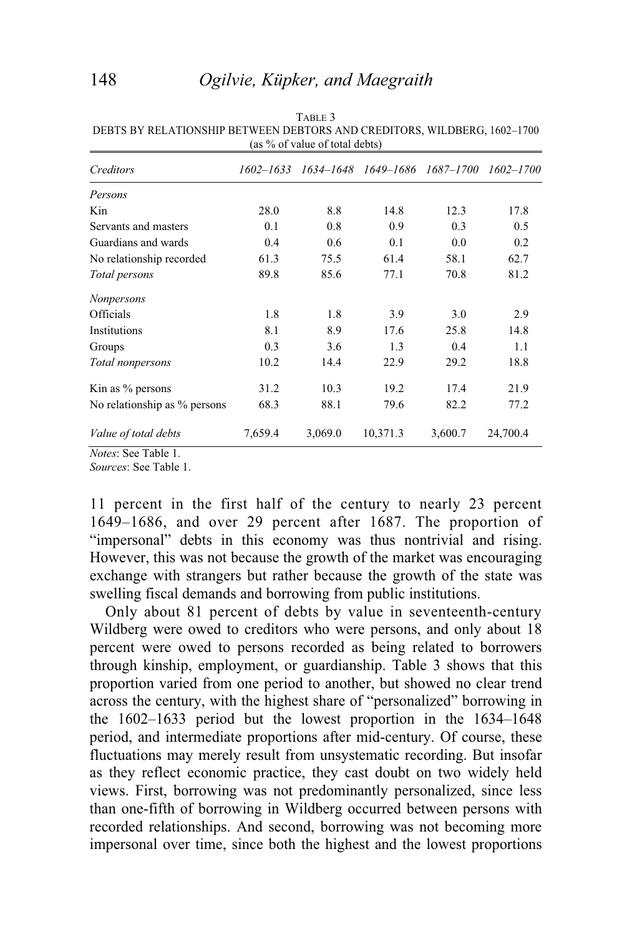# 148 *Ogilvie, Küpker, and Maegraith*

| Creditors                    | 1602–1633 |         | 1634-1648 1649-1686 1687-1700 1602-1700 |         |          |
|------------------------------|-----------|---------|-----------------------------------------|---------|----------|
| Persons                      |           |         |                                         |         |          |
| Kin                          | 28.0      | 8.8     | 14.8                                    | 12.3    | 17.8     |
| Servants and masters         | 0.1       | 0.8     | 0.9                                     | 0.3     | 0.5      |
| Guardians and wards          | 0.4       | 0.6     | 0.1                                     | 0.0     | 0.2      |
| No relationship recorded     | 61.3      | 75.5    | 61.4                                    | 58.1    | 62.7     |
| Total persons                | 89.8      | 85.6    | 77.1                                    | 70.8    | 81.2     |
| <b>Nonpersons</b>            |           |         |                                         |         |          |
| Officials                    | 1.8       | 1.8     | 3.9                                     | 3.0     | 2.9      |
| Institutions                 | 8.1       | 8.9     | 17.6                                    | 25.8    | 14.8     |
| Groups                       | 0.3       | 3.6     | 1.3                                     | 0.4     | 1.1      |
| Total nonpersons             | 10.2      | 14.4    | 22.9                                    | 29.2    | 18.8     |
| Kin as $\%$ persons          | 31.2      | 10.3    | 19.2                                    | 17.4    | 21.9     |
| No relationship as % persons | 68.3      | 88.1    | 79.6                                    | 82.2    | 77.2     |
| Value of total debts         | 7,659.4   | 3,069.0 | 10,371.3                                | 3,600.7 | 24,700.4 |
| $Notow Coa Table 1$          |           |         |                                         |         |          |

TABLE 3 DEBTS BY RELATIONSHIP BETWEEN DEBTORS AND CREDITORS, WILDBERG, 1602-1700 (as % of value of total debts)

*Notes*: See Table 1.

*Sources*: See Table 1.

11 percent in the first half of the century to nearly 23 percent 1649 $-1686$ , and over 29 percent after 1687. The proportion of "impersonal" debts in this economy was thus nontrivial and rising. However, this was not because the growth of the market was encouraging exchange with strangers but rather because the growth of the state was swelling fiscal demands and borrowing from public institutions.

 Only about 81 percent of debts by value in seventeenth-century Wildberg were owed to creditors who were persons, and only about 18 percent were owed to persons recorded as being related to borrowers through kinship, employment, or guardianship. Table 3 shows that this proportion varied from one period to another, but showed no clear trend across the century, with the highest share of "personalized" borrowing in the  $1602-1633$  period but the lowest proportion in the  $1634-1648$ period, and intermediate proportions after mid-century. Of course, these fluctuations may merely result from unsystematic recording. But insofar as they reflect economic practice, they cast doubt on two widely held views. First, borrowing was not predominantly personalized, since less than one-fifth of borrowing in Wildberg occurred between persons with recorded relationships. And second, borrowing was not becoming more impersonal over time, since both the highest and the lowest proportions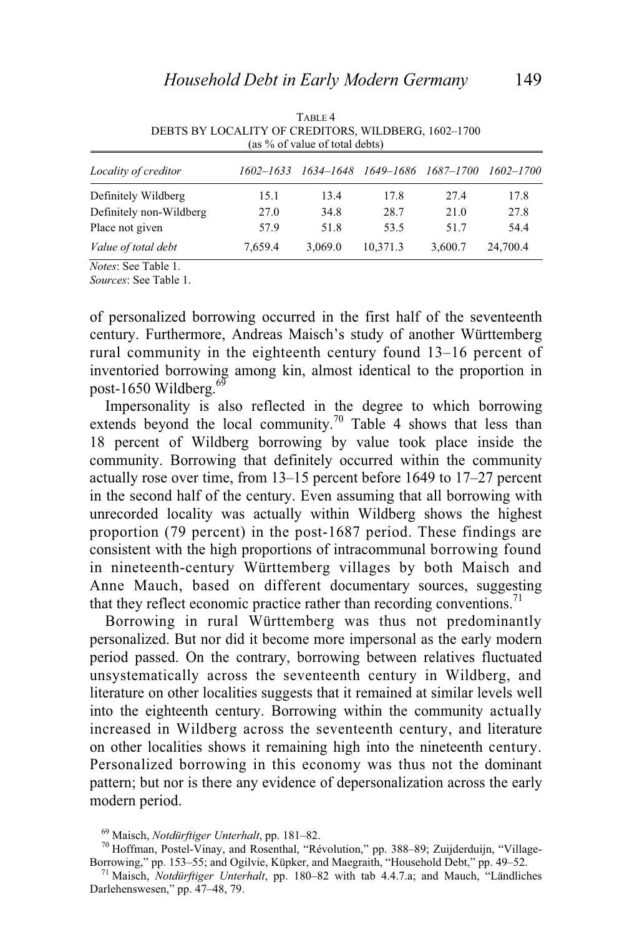| Locality of creditor       |         |         | 1602-1633 1634-1648 1649-1686 1687-1700 |         | 1602–1700 |
|----------------------------|---------|---------|-----------------------------------------|---------|-----------|
| Definitely Wildberg        | 15.1    | 13.4    | 17.8                                    | 27.4    | 17.8      |
| Definitely non-Wildberg    | 27.0    | 34.8    | 28.7                                    | 21.0    | 27.8      |
| Place not given            | 57.9    | 51.8    | 53.5                                    | 51.7    | 54.4      |
| Value of total debt        | 7,659.4 | 3,069.0 | 10,371.3                                | 3,600.7 | 24,700.4  |
| <i>Notes:</i> See Table 1. |         |         |                                         |         |           |

TABLE 4 DEBTS BY LOCALITY OF CREDITORS, WILDBERG, 1602-1700 (as % of value of total debts)

*Sources*: See Table 1.

of personalized borrowing occurred in the first half of the seventeenth century. Furthermore, Andreas Maisch's study of another Württemberg rural community in the eighteenth century found  $13-16$  percent of inventoried borrowing among kin, almost identical to the proportion in post-1650 Wildberg. $^{69}$ 

 Impersonality is also reflected in the degree to which borrowing extends beyond the local community.<sup>70</sup> Table 4 shows that less than 18 percent of Wildberg borrowing by value took place inside the community. Borrowing that definitely occurred within the community actually rose over time, from  $13-15$  percent before 1649 to  $17-27$  percent in the second half of the century. Even assuming that all borrowing with unrecorded locality was actually within Wildberg shows the highest proportion (79 percent) in the post-1687 period. These findings are consistent with the high proportions of intracommunal borrowing found in nineteenth-century Württemberg villages by both Maisch and Anne Mauch, based on different documentary sources, suggesting that they reflect economic practice rather than recording conventions.<sup>71</sup>

 Borrowing in rural Württemberg was thus not predominantly personalized. But nor did it become more impersonal as the early modern period passed. On the contrary, borrowing between relatives fluctuated unsystematically across the seventeenth century in Wildberg, and literature on other localities suggests that it remained at similar levels well into the eighteenth century. Borrowing within the community actually increased in Wildberg across the seventeenth century, and literature on other localities shows it remaining high into the nineteenth century. Personalized borrowing in this economy was thus not the dominant pattern; but nor is there any evidence of depersonalization across the early modern period.

<sup>&</sup>lt;sup>69</sup> Maisch, *Notdürftiger Unterhalt*, pp. 181–82.<br><sup>70</sup> Hoffman, Postel-Vinay, and Rosenthal, "Révolution," pp. 388–89; Zuijderduijn, "Village-Borrowing," pp. 153–55; and Ogilvie, Küpker, and Maegraith, "Household Debt," p

<sup>&</sup>lt;sup>71</sup> Maisch, *Notdürftiger Unterhalt*, pp. 180–82 with tab 4.4.7.a; and Mauch, "Ländliches Darlehenswesen," pp. 47–48, 79.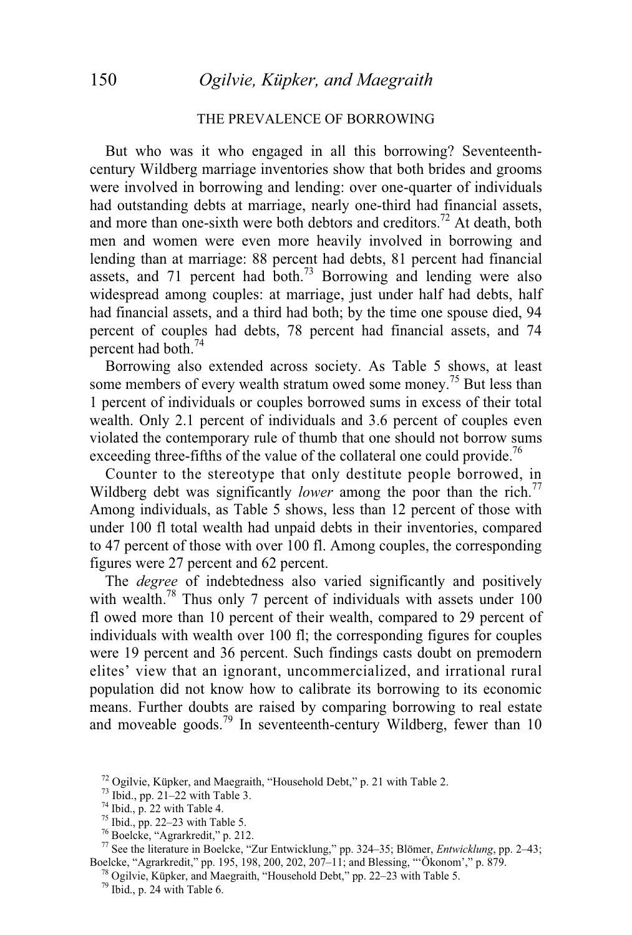# 150 *Ogilvie, Küpker, and Maegraith*

#### THE PREVALENCE OF BORROWING

 But who was it who engaged in all this borrowing? Seventeenthcentury Wildberg marriage inventories show that both brides and grooms were involved in borrowing and lending: over one-quarter of individuals had outstanding debts at marriage, nearly one-third had financial assets, and more than one-sixth were both debtors and creditors.<sup>72</sup> At death, both men and women were even more heavily involved in borrowing and lending than at marriage: 88 percent had debts, 81 percent had financial assets, and 71 percent had both.<sup>73</sup> Borrowing and lending were also widespread among couples: at marriage, just under half had debts, half had financial assets, and a third had both; by the time one spouse died, 94 percent of couples had debts, 78 percent had financial assets, and 74 percent had both.<sup>74</sup>

 Borrowing also extended across society. As Table 5 shows, at least some members of every wealth stratum owed some money.<sup>75</sup> But less than 1 percent of individuals or couples borrowed sums in excess of their total wealth. Only 2.1 percent of individuals and 3.6 percent of couples even violated the contemporary rule of thumb that one should not borrow sums exceeding three-fifths of the value of the collateral one could provide.<sup>76</sup>

 Counter to the stereotype that only destitute people borrowed, in Wildberg debt was significantly *lower* among the poor than the rich.<sup>77</sup> Among individuals, as Table 5 shows, less than 12 percent of those with under 100 fl total wealth had unpaid debts in their inventories, compared to 47 percent of those with over 100 fl. Among couples, the corresponding figures were 27 percent and 62 percent.

 The *degree* of indebtedness also varied significantly and positively with wealth.<sup>78</sup> Thus only 7 percent of individuals with assets under 100 fl owed more than 10 percent of their wealth, compared to 29 percent of individuals with wealth over 100 fl; the corresponding figures for couples were 19 percent and 36 percent. Such findings casts doubt on premodern elites' view that an ignorant, uncommercialized, and irrational rural population did not know how to calibrate its borrowing to its economic means. Further doubts are raised by comparing borrowing to real estate and moveable goods.<sup>79</sup> In seventeenth-century Wildberg, fewer than 10

<sup>&</sup>lt;sup>72</sup> Ogilvie, Küpker, and Maegraith, "Household Debt," p. 21 with Table 2.<br><sup>73</sup> Ibid., pp. 21–22 with Table 3.<br><sup>74</sup> Ibid., p. 22 with Table 4.<br><sup>75</sup> Ibid., pp. 22–23 with Table 5.

<sup>&</sup>lt;sup>76</sup> Boelcke, "Agrarkredit," p. 212.

<sup>&</sup>lt;sup>77</sup> See the literature in Boelcke, "Zur Entwicklung," pp. 324-35; Blömer, *Entwicklung*, pp. 2-43; Boelcke, "Agrarkredit," pp. 195, 198, 200, 202, 207-11; and Blessing, ""Ökonom'," p. 879. <sup>78</sup> Ogilvie, Küpker, and Maegraith, "Household Debt," pp. 22-23 with Table 5. <sup>79</sup> Ibid., p. 24 with Table 6.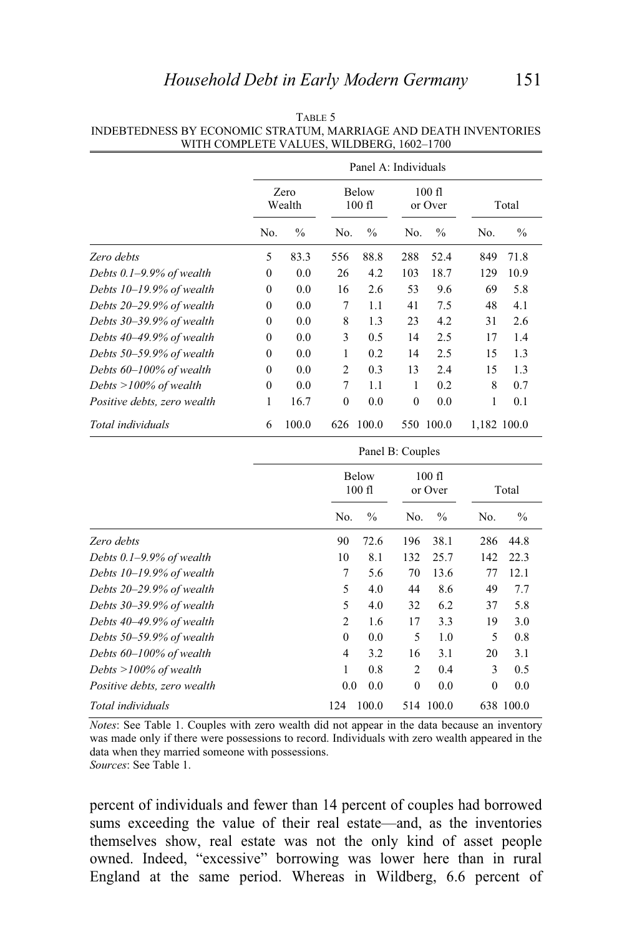|                             | Panel A: Individuals |               |                                  |               |                             |               |             |               |  |
|-----------------------------|----------------------|---------------|----------------------------------|---------------|-----------------------------|---------------|-------------|---------------|--|
|                             | Zero<br>Wealth       |               | <b>Below</b><br>$100 \text{ fl}$ |               | $100 \text{ fl}$<br>or Over |               |             | Total         |  |
|                             | No.                  | $\frac{0}{0}$ | No.                              | $\frac{0}{0}$ | No.                         | $\frac{0}{0}$ | No.         | $\frac{0}{0}$ |  |
| Zero debts                  | 5                    | 83.3          | 556                              | 88.8          | 288                         | 52.4          | 849         | 71.8          |  |
| Debts $0.1-9.9\%$ of wealth | $\mathbf{0}$         | 0.0           | 26                               | 4.2           | 103                         | 18.7          | 129         | 10.9          |  |
| Debts $10-19.9\%$ of wealth | $\mathbf{0}$         | 0.0           | 16                               | 2.6           | 53                          | 9.6           | 69          | 5.8           |  |
| Debts $20-29.9%$ of wealth  | $\mathbf{0}$         | 0.0           | 7                                | 1.1           | 41                          | 7.5           | 48          | 4.1           |  |
| Debts $30-39.9%$ of wealth  | $\theta$             | 0.0           | 8                                | 1.3           | 23                          | 4.2           | 31          | 2.6           |  |
| Debts 40–49.9% of wealth    | $\theta$             | 0.0           | 3                                | 0.5           | 14                          | 2.5           | 17          | 1.4           |  |
| Debts $50-59.9\%$ of wealth | $\Omega$             | 0.0           | 1                                | 0.2           | 14                          | 2.5           | 15          | 1.3           |  |
| Debts $60-100\%$ of wealth  | $\overline{0}$       | 0.0           | $\overline{2}$                   | 0.3           | 13                          | 2.4           | 15          | 1.3           |  |
| Debts $>100\%$ of wealth    | $\mathbf{0}$         | 0.0           | 7                                | 1.1           | 1                           | 0.2           | 8           | 0.7           |  |
| Positive debts, zero wealth | 1                    | 16.7          | $\mathbf{0}$                     | 0.0           | $\theta$                    | 0.0           | 1           | 0.1           |  |
| Total individuals           | 6                    | 100.0         | 626                              | 100.0         | 550                         | 100.0         | 1,182 100.0 |               |  |

TABLE 5 INDEBTEDNESS BY ECONOMIC STRATUM, MARRIAGE AND DEATH INVENTORIES WITH COMPLETE VALUES, WILDBERG, 1602-1700

|                             | Panel B: Couples                 |               |                  |               |                  |               |  |
|-----------------------------|----------------------------------|---------------|------------------|---------------|------------------|---------------|--|
|                             | <b>Below</b><br>$100 \text{ fl}$ |               | 100f1<br>or Over |               | Total            |               |  |
|                             | No.                              | $\frac{0}{0}$ | No.              | $\frac{0}{0}$ | No.              | $\frac{0}{0}$ |  |
| Zero debts                  | 90                               | 72.6          | 196              | 38.1          | 286              | 44.8          |  |
| Debts $0.1-9.9\%$ of wealth | 10                               | 8.1           | 132              | 25.7          | 142              | 22.3          |  |
| Debts 10-19.9% of wealth    | 7                                | 5.6           | 70               | 13.6          | 77               | 12.1          |  |
| Debts $20-29.9%$ of wealth  | 5                                | 4.0           | 44               | 8.6           | 49               | 7.7           |  |
| Debts $30-39.9%$ of wealth  | 5                                | 4.0           | 32               | 6.2           | 37               | 5.8           |  |
| Debts 40-49.9% of wealth    | 2                                | 1.6           | 17               | 3.3           | 19               | 3.0           |  |
| Debts 50-59.9% of wealth    | $\mathbf{0}$                     | 0.0           | 5                | 1.0           | 5                | 0.8           |  |
| Debts 60-100% of wealth     | $\overline{4}$                   | 3.2           | 16               | 3.1           | 20               | 3.1           |  |
| Debts $>100\%$ of wealth    | 1                                | 0.8           | $\overline{c}$   | 0.4           | 3                | 0.5           |  |
| Positive debts, zero wealth | 0.0                              | 0.0           | $\mathbf{0}$     | 0.0           | $\boldsymbol{0}$ | 0.0           |  |
| Total individuals           | 124                              | 100.0         |                  | 514 100.0     |                  | 638 100.0     |  |

*Notes*: See Table 1. Couples with zero wealth did not appear in the data because an inventory was made only if there were possessions to record. Individuals with zero wealth appeared in the data when they married someone with possessions. *Sources*: See Table 1.

percent of individuals and fewer than 14 percent of couples had borrowed sums exceeding the value of their real estate—and, as the inventories themselves show, real estate was not the only kind of asset people owned. Indeed, "excessive" borrowing was lower here than in rural England at the same period. Whereas in Wildberg, 6.6 percent of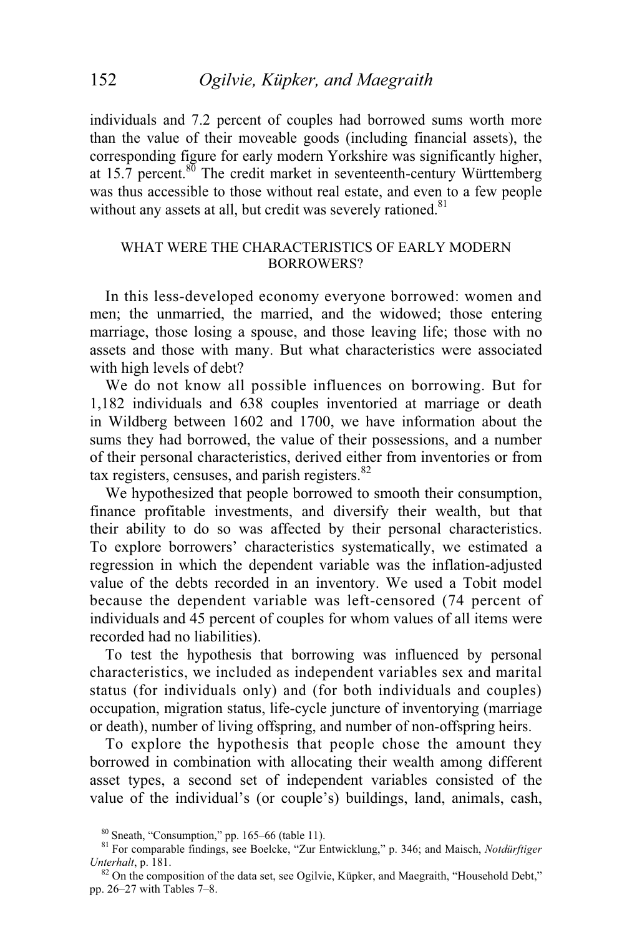individuals and 7.2 percent of couples had borrowed sums worth more than the value of their moveable goods (including financial assets), the corresponding figure for early modern Yorkshire was significantly higher, at  $15.7$  percent. $80$  The credit market in seventeenth-century Württemberg was thus accessible to those without real estate, and even to a few people without any assets at all, but credit was severely rationed.<sup>81</sup>

# WHAT WERE THE CHARACTERISTICS OF EARLY MODERN BORROWERS?

 In this less-developed economy everyone borrowed: women and men; the unmarried, the married, and the widowed; those entering marriage, those losing a spouse, and those leaving life; those with no assets and those with many. But what characteristics were associated with high levels of debt?

 We do not know all possible influences on borrowing. But for 1,182 individuals and 638 couples inventoried at marriage or death in Wildberg between 1602 and 1700, we have information about the sums they had borrowed, the value of their possessions, and a number of their personal characteristics, derived either from inventories or from tax registers, censuses, and parish registers.<sup>82</sup>

 We hypothesized that people borrowed to smooth their consumption, finance profitable investments, and diversify their wealth, but that their ability to do so was affected by their personal characteristics. To explore borrowers' characteristics systematically, we estimated a regression in which the dependent variable was the inflation-adjusted value of the debts recorded in an inventory. We used a Tobit model because the dependent variable was left-censored (74 percent of individuals and 45 percent of couples for whom values of all items were recorded had no liabilities).

 To test the hypothesis that borrowing was influenced by personal characteristics, we included as independent variables sex and marital status (for individuals only) and (for both individuals and couples) occupation, migration status, life-cycle juncture of inventorying (marriage or death), number of living offspring, and number of non-offspring heirs.

 To explore the hypothesis that people chose the amount they borrowed in combination with allocating their wealth among different asset types, a second set of independent variables consisted of the value of the individual's (or couple's) buildings, land, animals, cash,

<sup>&</sup>lt;sup>80</sup> Sneath, "Consumption," pp. 165–66 (table 11).<br><sup>81</sup> For comparable findings, see Boelcke, "Zur Entwicklung," p. 346; and Maisch, *Notdürftiger Unterhalt*, p. 181.<br><sup>82</sup> On the composition of the data set, see Ogilvie, Küpker, and Maegraith, "Household Debt,"

pp.  $26-27$  with Tables 7-8.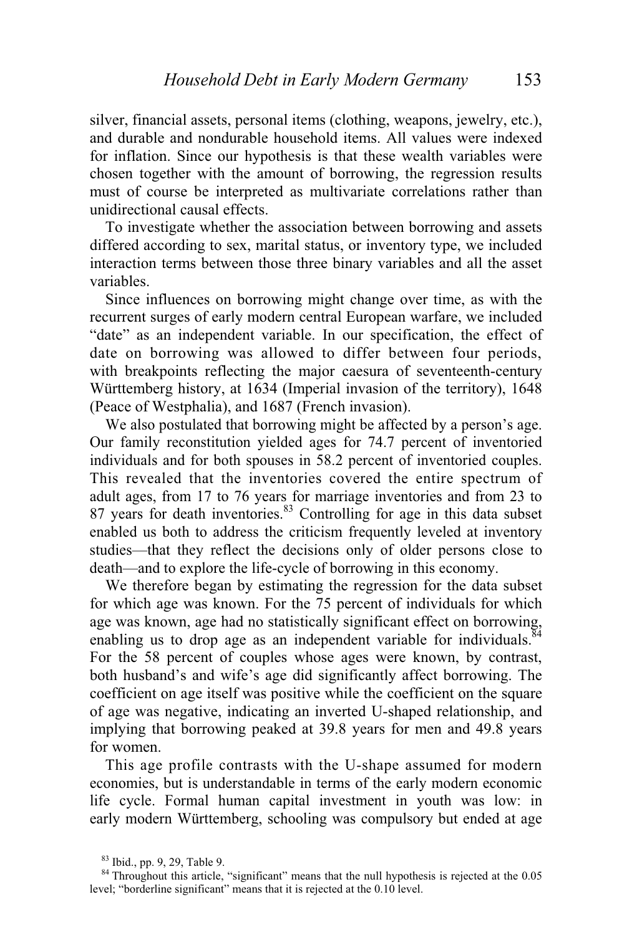silver, financial assets, personal items (clothing, weapons, jewelry, etc.), and durable and nondurable household items. All values were indexed for inflation. Since our hypothesis is that these wealth variables were chosen together with the amount of borrowing, the regression results must of course be interpreted as multivariate correlations rather than unidirectional causal effects.

 To investigate whether the association between borrowing and assets differed according to sex, marital status, or inventory type, we included interaction terms between those three binary variables and all the asset variables.

 Since influences on borrowing might change over time, as with the recurrent surges of early modern central European warfare, we included "date" as an independent variable. In our specification, the effect of date on borrowing was allowed to differ between four periods, with breakpoints reflecting the major caesura of seventeenth-century Württemberg history, at 1634 (Imperial invasion of the territory), 1648 (Peace of Westphalia), and 1687 (French invasion).

 We also postulated that borrowing might be affected by a person's age. Our family reconstitution yielded ages for 74.7 percent of inventoried individuals and for both spouses in 58.2 percent of inventoried couples. This revealed that the inventories covered the entire spectrum of adult ages, from 17 to 76 years for marriage inventories and from 23 to 87 years for death inventories.<sup>83</sup> Controlling for age in this data subset enabled us both to address the criticism frequently leveled at inventory studies—that they reflect the decisions only of older persons close to death—and to explore the life-cycle of borrowing in this economy.

 We therefore began by estimating the regression for the data subset for which age was known. For the 75 percent of individuals for which age was known, age had no statistically significant effect on borrowing, enabling us to drop age as an independent variable for individuals.<sup>84</sup> For the 58 percent of couples whose ages were known, by contrast, both husband's and wife's age did significantly affect borrowing. The coefficient on age itself was positive while the coefficient on the square of age was negative, indicating an inverted U-shaped relationship, and implying that borrowing peaked at 39.8 years for men and 49.8 years for women.

 This age profile contrasts with the U-shape assumed for modern economies, but is understandable in terms of the early modern economic life cycle. Formal human capital investment in youth was low: in early modern Württemberg, schooling was compulsory but ended at age

<sup>&</sup>lt;sup>83</sup> Ibid., pp. 9, 29, Table 9.<br><sup>84</sup> Throughout this article, "significant" means that the null hypothesis is rejected at the 0.05 level; "borderline significant" means that it is rejected at the 0.10 level.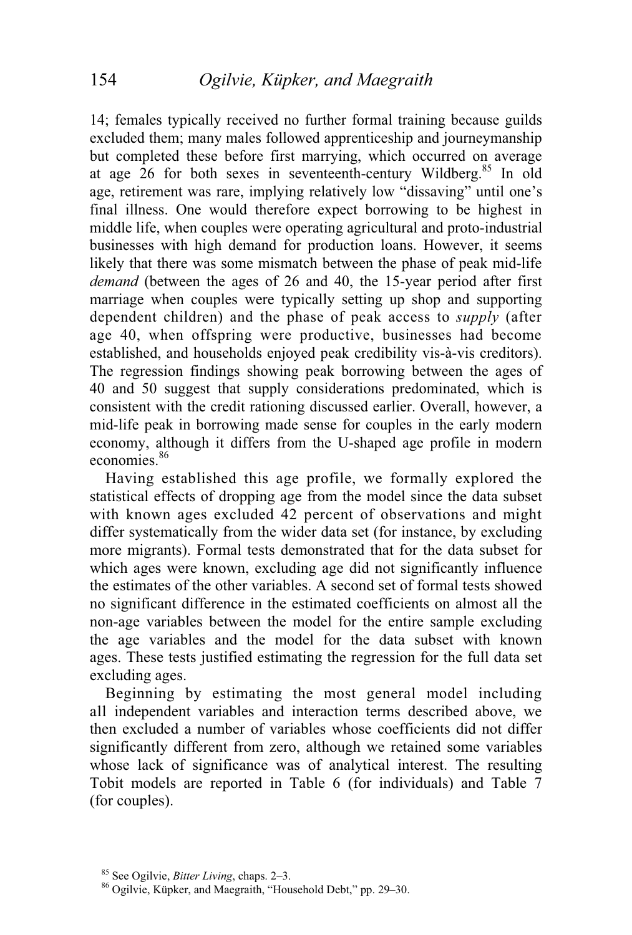14; females typically received no further formal training because guilds excluded them; many males followed apprenticeship and journeymanship but completed these before first marrying, which occurred on average at age 26 for both sexes in seventeenth-century Wildberg.<sup>85</sup> In old age, retirement was rare, implying relatively low "dissaving" until one's final illness. One would therefore expect borrowing to be highest in middle life, when couples were operating agricultural and proto-industrial businesses with high demand for production loans. However, it seems likely that there was some mismatch between the phase of peak mid-life *demand* (between the ages of 26 and 40, the 15-year period after first marriage when couples were typically setting up shop and supporting dependent children) and the phase of peak access to *supply* (after age 40, when offspring were productive, businesses had become established, and households enjoyed peak credibility vis-à-vis creditors). The regression findings showing peak borrowing between the ages of 40 and 50 suggest that supply considerations predominated, which is consistent with the credit rationing discussed earlier. Overall, however, a mid-life peak in borrowing made sense for couples in the early modern economy, although it differs from the U-shaped age profile in modern economies.<sup>86</sup>

 Having established this age profile, we formally explored the statistical effects of dropping age from the model since the data subset with known ages excluded 42 percent of observations and might differ systematically from the wider data set (for instance, by excluding more migrants). Formal tests demonstrated that for the data subset for which ages were known, excluding age did not significantly influence the estimates of the other variables. A second set of formal tests showed no significant difference in the estimated coefficients on almost all the non-age variables between the model for the entire sample excluding the age variables and the model for the data subset with known ages. These tests justified estimating the regression for the full data set excluding ages.

 Beginning by estimating the most general model including all independent variables and interaction terms described above, we then excluded a number of variables whose coefficients did not differ significantly different from zero, although we retained some variables whose lack of significance was of analytical interest. The resulting Tobit models are reported in Table 6 (for individuals) and Table 7 (for couples).

<sup>&</sup>lt;sup>85</sup> See Ogilvie, *Bitter Living*, chaps. 2–3.<br><sup>86</sup> Ogilvie, Küpker, and Maegraith, "Household Debt," pp. 29–30.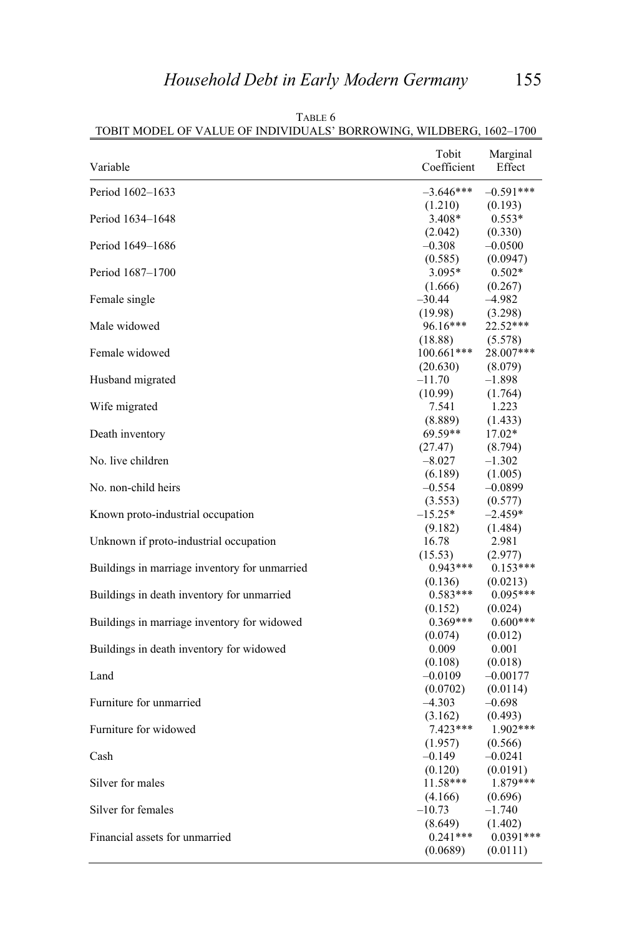| Variable                                      | Tobit<br>Coefficient  | Marginal<br>Effect     |
|-----------------------------------------------|-----------------------|------------------------|
| Period 1602-1633                              | $-3.646***$           | $-0.591***$            |
|                                               | (1.210)               | (0.193)                |
| Period 1634–1648                              | $3.408*$              | $0.553*$               |
|                                               | (2.042)               | (0.330)                |
| Period 1649–1686                              | $-0.308$              | $-0.0500$              |
|                                               | (0.585)               | (0.0947)               |
| Period 1687-1700                              | $3.095*$              | $0.502*$               |
|                                               | (1.666)               | (0.267)                |
| Female single                                 | $-30.44$              | $-4.982$               |
|                                               | (19.98)               | (3.298)                |
| Male widowed                                  | 96.16***              | 22.52***               |
|                                               | (18.88)               | (5.578)                |
| Female widowed                                | $100.661***$          | 28.007***              |
|                                               | (20.630)              | (8.079)                |
| Husband migrated                              | $-11.70$              | $-1.898$               |
|                                               | (10.99)               | (1.764)                |
| Wife migrated                                 | 7.541                 | 1.223                  |
|                                               | (8.889)               | (1.433)                |
| Death inventory                               | 69.59**               | $17.02*$               |
|                                               | (27.47)               | (8.794)                |
| No. live children                             | $-8.027$              | $-1.302$               |
|                                               | (6.189)               | (1.005)                |
| No. non-child heirs                           | $-0.554$              | $-0.0899$              |
|                                               | (3.553)               | (0.577)                |
| Known proto-industrial occupation             | $-15.25*$             | $-2.459*$              |
|                                               | (9.182)               | (1.484)                |
| Unknown if proto-industrial occupation        | 16.78                 | 2.981                  |
|                                               | (15.53)<br>$0.943***$ | (2.977)                |
| Buildings in marriage inventory for unmarried |                       | $0.153***$             |
|                                               | (0.136)<br>$0.583***$ | (0.0213)<br>$0.095***$ |
| Buildings in death inventory for unmarried    |                       |                        |
| Buildings in marriage inventory for widowed   | (0.152)<br>$0.369***$ | (0.024)<br>$0.600***$  |
|                                               | (0.074)               | (0.012)                |
| Buildings in death inventory for widowed      | 0.009                 | 0.001                  |
|                                               | (0.108)               | (0.018)                |
| Land                                          | $-0.0109$             | $-0.00177$             |
|                                               | (0.0702)              | (0.0114)               |
| Furniture for unmarried                       | $-4.303$              | $-0.698$               |
|                                               | (3.162)               | (0.493)                |
| Furniture for widowed                         | $7.423***$            | 1.902***               |
|                                               | (1.957)               | (0.566)                |
| Cash                                          | $-0.149$              | $-0.0241$              |
|                                               | (0.120)               | (0.0191)               |
| Silver for males                              | 11.58***              | 1.879***               |
|                                               | (4.166)               | (0.696)                |
| Silver for females                            | $-10.73$              | $-1.740$               |
|                                               | (8.649)               | (1.402)                |
| Financial assets for unmarried                | $0.241***$            | $0.0391***$            |
|                                               | (0.0689)              | (0.0111)               |

TABLE 6 TOBIT MODEL OF VALUE OF INDIVIDUALS' BORROWING, WILDBERG, 1602-1700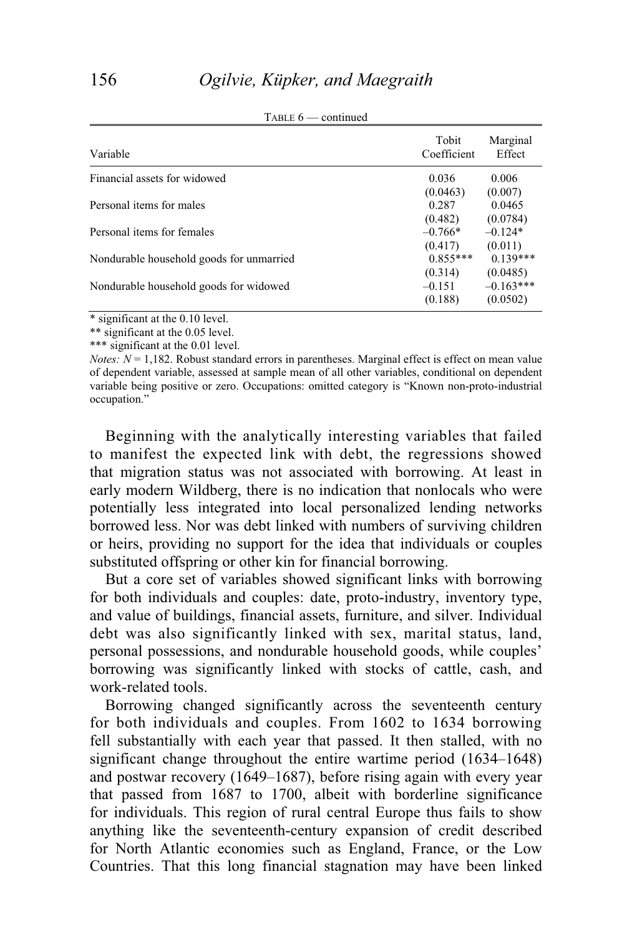| Variable                                 | Tobit<br>Coefficient | Marginal<br>Effect |
|------------------------------------------|----------------------|--------------------|
| Financial assets for widowed             | 0.036                | 0.006              |
|                                          | (0.0463)             | (0.007)            |
| Personal items for males                 | 0.287                | 0.0465             |
|                                          | (0.482)              | (0.0784)           |
| Personal items for females               | $-0.766*$            | $-0.124*$          |
|                                          | (0.417)              | (0.011)            |
| Nondurable household goods for unmarried | $0.855***$           | $0.139***$         |
|                                          | (0.314)              | (0.0485)           |
| Nondurable household goods for widowed   | $-0.151$             | $-0.163***$        |
|                                          | (0.188)              | (0.0502)           |

TABLE 6 — continued

\* significant at the 0.10 level.

\*\* significant at the 0.05 level.

\*\*\* significant at the 0.01 level.

*Notes: N* = 1,182. Robust standard errors in parentheses. Marginal effect is effect on mean value of dependent variable, assessed at sample mean of all other variables, conditional on dependent variable being positive or zero. Occupations: omitted category is "Known non-proto-industrial occupation."

 Beginning with the analytically interesting variables that failed to manifest the expected link with debt, the regressions showed that migration status was not associated with borrowing. At least in early modern Wildberg, there is no indication that nonlocals who were potentially less integrated into local personalized lending networks borrowed less. Nor was debt linked with numbers of surviving children or heirs, providing no support for the idea that individuals or couples substituted offspring or other kin for financial borrowing.

 But a core set of variables showed significant links with borrowing for both individuals and couples: date, proto-industry, inventory type, and value of buildings, financial assets, furniture, and silver. Individual debt was also significantly linked with sex, marital status, land, personal possessions, and nondurable household goods, while couples' borrowing was significantly linked with stocks of cattle, cash, and work-related tools.

 Borrowing changed significantly across the seventeenth century for both individuals and couples. From 1602 to 1634 borrowing fell substantially with each year that passed. It then stalled, with no significant change throughout the entire wartime period  $(1634-1648)$ and postwar recovery  $(1649–1687)$ , before rising again with every year that passed from 1687 to 1700, albeit with borderline significance for individuals. This region of rural central Europe thus fails to show anything like the seventeenth-century expansion of credit described for North Atlantic economies such as England, France, or the Low Countries. That this long financial stagnation may have been linked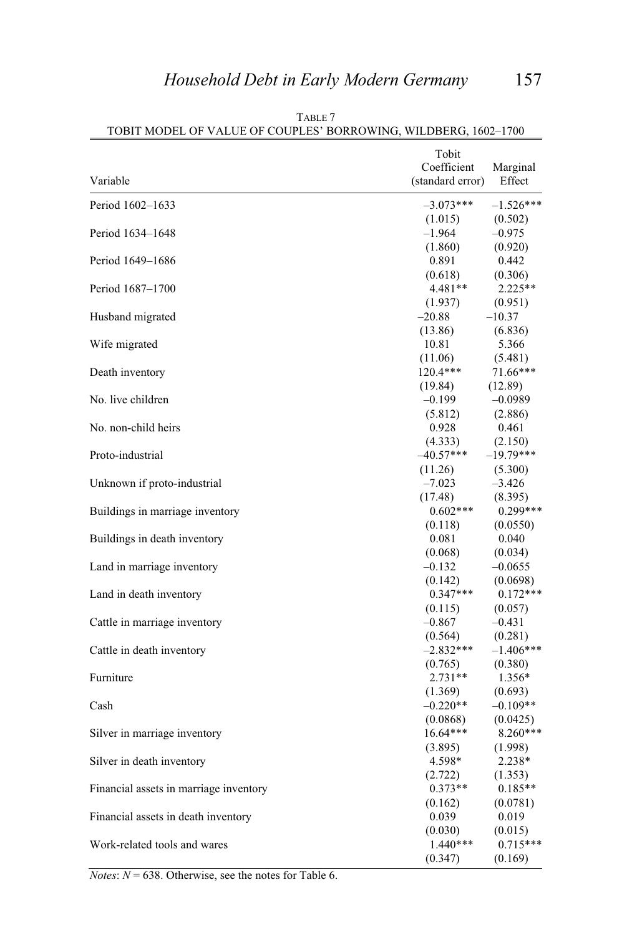| Coefficient<br>Marginal<br>Variable<br>(standard error)<br>Effect<br>Period 1602-1633<br>$-3.073***$<br>$-1.526***$<br>(0.502)<br>(1.015)<br>$-1.964$<br>$-0.975$<br>Period 1634–1648<br>(1.860)<br>(0.920)<br>0.891<br>0.442<br>Period 1649–1686<br>(0.618)<br>(0.306)<br>Period 1687-1700<br>$4.481**$<br>$2.225**$<br>(1.937)<br>(0.951)<br>$-20.88$<br>Husband migrated<br>$-10.37$<br>(13.86)<br>(6.836)<br>Wife migrated<br>10.81<br>5.366<br>(11.06)<br>(5.481)<br>$120.4***$<br>71.66***<br>Death inventory<br>(19.84)<br>(12.89)<br>No. live children<br>$-0.199$<br>$-0.0989$<br>(5.812)<br>(2.886)<br>No. non-child heirs<br>0.928<br>0.461<br>(4.333)<br>(2.150)<br>$-40.57***$<br>$-19.79***$<br>Proto-industrial<br>(11.26)<br>(5.300)<br>Unknown if proto-industrial<br>$-7.023$<br>$-3.426$<br>(17.48)<br>(8.395)<br>$0.602***$<br>$0.299***$<br>Buildings in marriage inventory<br>(0.118)<br>(0.0550)<br>Buildings in death inventory<br>0.081<br>0.040<br>(0.068)<br>(0.034)<br>Land in marriage inventory<br>$-0.132$<br>$-0.0655$<br>(0.142)<br>(0.0698)<br>$0.347***$<br>$0.172***$<br>Land in death inventory<br>(0.115)<br>(0.057)<br>Cattle in marriage inventory<br>$-0.867$<br>$-0.431$<br>(0.281)<br>(0.564)<br>$-2.832***$<br>$-1.406***$<br>Cattle in death inventory<br>(0.765)<br>(0.380)<br>Furniture<br>$2.731**$<br>1.356*<br>(1.369)<br>(0.693)<br>$-0.220**$<br>$-0.109**$<br>Cash<br>(0.0868)<br>(0.0425)<br>Silver in marriage inventory<br>16.64***<br>8.260***<br>(3.895)<br>(1.998)<br>4.598*<br>2.238*<br>Silver in death inventory<br>(2.722)<br>(1.353)<br>$0.373**$<br>$0.185**$<br>Financial assets in marriage inventory<br>(0.162)<br>(0.0781)<br>Financial assets in death inventory<br>0.039<br>0.019<br>(0.030)<br>(0.015)<br>Work-related tools and wares<br>$1.440***$<br>$0.715***$ | Tobit   |         |
|--------------------------------------------------------------------------------------------------------------------------------------------------------------------------------------------------------------------------------------------------------------------------------------------------------------------------------------------------------------------------------------------------------------------------------------------------------------------------------------------------------------------------------------------------------------------------------------------------------------------------------------------------------------------------------------------------------------------------------------------------------------------------------------------------------------------------------------------------------------------------------------------------------------------------------------------------------------------------------------------------------------------------------------------------------------------------------------------------------------------------------------------------------------------------------------------------------------------------------------------------------------------------------------------------------------------------------------------------------------------------------------------------------------------------------------------------------------------------------------------------------------------------------------------------------------------------------------------------------------------------------------------------------------------------------------------------------------------------------------------------------------------------------------------------------------------------------------------|---------|---------|
|                                                                                                                                                                                                                                                                                                                                                                                                                                                                                                                                                                                                                                                                                                                                                                                                                                                                                                                                                                                                                                                                                                                                                                                                                                                                                                                                                                                                                                                                                                                                                                                                                                                                                                                                                                                                                                            |         |         |
|                                                                                                                                                                                                                                                                                                                                                                                                                                                                                                                                                                                                                                                                                                                                                                                                                                                                                                                                                                                                                                                                                                                                                                                                                                                                                                                                                                                                                                                                                                                                                                                                                                                                                                                                                                                                                                            |         |         |
|                                                                                                                                                                                                                                                                                                                                                                                                                                                                                                                                                                                                                                                                                                                                                                                                                                                                                                                                                                                                                                                                                                                                                                                                                                                                                                                                                                                                                                                                                                                                                                                                                                                                                                                                                                                                                                            |         |         |
|                                                                                                                                                                                                                                                                                                                                                                                                                                                                                                                                                                                                                                                                                                                                                                                                                                                                                                                                                                                                                                                                                                                                                                                                                                                                                                                                                                                                                                                                                                                                                                                                                                                                                                                                                                                                                                            |         |         |
|                                                                                                                                                                                                                                                                                                                                                                                                                                                                                                                                                                                                                                                                                                                                                                                                                                                                                                                                                                                                                                                                                                                                                                                                                                                                                                                                                                                                                                                                                                                                                                                                                                                                                                                                                                                                                                            |         |         |
|                                                                                                                                                                                                                                                                                                                                                                                                                                                                                                                                                                                                                                                                                                                                                                                                                                                                                                                                                                                                                                                                                                                                                                                                                                                                                                                                                                                                                                                                                                                                                                                                                                                                                                                                                                                                                                            |         |         |
|                                                                                                                                                                                                                                                                                                                                                                                                                                                                                                                                                                                                                                                                                                                                                                                                                                                                                                                                                                                                                                                                                                                                                                                                                                                                                                                                                                                                                                                                                                                                                                                                                                                                                                                                                                                                                                            |         |         |
|                                                                                                                                                                                                                                                                                                                                                                                                                                                                                                                                                                                                                                                                                                                                                                                                                                                                                                                                                                                                                                                                                                                                                                                                                                                                                                                                                                                                                                                                                                                                                                                                                                                                                                                                                                                                                                            |         |         |
|                                                                                                                                                                                                                                                                                                                                                                                                                                                                                                                                                                                                                                                                                                                                                                                                                                                                                                                                                                                                                                                                                                                                                                                                                                                                                                                                                                                                                                                                                                                                                                                                                                                                                                                                                                                                                                            |         |         |
|                                                                                                                                                                                                                                                                                                                                                                                                                                                                                                                                                                                                                                                                                                                                                                                                                                                                                                                                                                                                                                                                                                                                                                                                                                                                                                                                                                                                                                                                                                                                                                                                                                                                                                                                                                                                                                            |         |         |
|                                                                                                                                                                                                                                                                                                                                                                                                                                                                                                                                                                                                                                                                                                                                                                                                                                                                                                                                                                                                                                                                                                                                                                                                                                                                                                                                                                                                                                                                                                                                                                                                                                                                                                                                                                                                                                            |         |         |
|                                                                                                                                                                                                                                                                                                                                                                                                                                                                                                                                                                                                                                                                                                                                                                                                                                                                                                                                                                                                                                                                                                                                                                                                                                                                                                                                                                                                                                                                                                                                                                                                                                                                                                                                                                                                                                            |         |         |
|                                                                                                                                                                                                                                                                                                                                                                                                                                                                                                                                                                                                                                                                                                                                                                                                                                                                                                                                                                                                                                                                                                                                                                                                                                                                                                                                                                                                                                                                                                                                                                                                                                                                                                                                                                                                                                            |         |         |
|                                                                                                                                                                                                                                                                                                                                                                                                                                                                                                                                                                                                                                                                                                                                                                                                                                                                                                                                                                                                                                                                                                                                                                                                                                                                                                                                                                                                                                                                                                                                                                                                                                                                                                                                                                                                                                            |         |         |
|                                                                                                                                                                                                                                                                                                                                                                                                                                                                                                                                                                                                                                                                                                                                                                                                                                                                                                                                                                                                                                                                                                                                                                                                                                                                                                                                                                                                                                                                                                                                                                                                                                                                                                                                                                                                                                            |         |         |
|                                                                                                                                                                                                                                                                                                                                                                                                                                                                                                                                                                                                                                                                                                                                                                                                                                                                                                                                                                                                                                                                                                                                                                                                                                                                                                                                                                                                                                                                                                                                                                                                                                                                                                                                                                                                                                            |         |         |
|                                                                                                                                                                                                                                                                                                                                                                                                                                                                                                                                                                                                                                                                                                                                                                                                                                                                                                                                                                                                                                                                                                                                                                                                                                                                                                                                                                                                                                                                                                                                                                                                                                                                                                                                                                                                                                            |         |         |
|                                                                                                                                                                                                                                                                                                                                                                                                                                                                                                                                                                                                                                                                                                                                                                                                                                                                                                                                                                                                                                                                                                                                                                                                                                                                                                                                                                                                                                                                                                                                                                                                                                                                                                                                                                                                                                            |         |         |
|                                                                                                                                                                                                                                                                                                                                                                                                                                                                                                                                                                                                                                                                                                                                                                                                                                                                                                                                                                                                                                                                                                                                                                                                                                                                                                                                                                                                                                                                                                                                                                                                                                                                                                                                                                                                                                            |         |         |
|                                                                                                                                                                                                                                                                                                                                                                                                                                                                                                                                                                                                                                                                                                                                                                                                                                                                                                                                                                                                                                                                                                                                                                                                                                                                                                                                                                                                                                                                                                                                                                                                                                                                                                                                                                                                                                            |         |         |
|                                                                                                                                                                                                                                                                                                                                                                                                                                                                                                                                                                                                                                                                                                                                                                                                                                                                                                                                                                                                                                                                                                                                                                                                                                                                                                                                                                                                                                                                                                                                                                                                                                                                                                                                                                                                                                            |         |         |
|                                                                                                                                                                                                                                                                                                                                                                                                                                                                                                                                                                                                                                                                                                                                                                                                                                                                                                                                                                                                                                                                                                                                                                                                                                                                                                                                                                                                                                                                                                                                                                                                                                                                                                                                                                                                                                            |         |         |
|                                                                                                                                                                                                                                                                                                                                                                                                                                                                                                                                                                                                                                                                                                                                                                                                                                                                                                                                                                                                                                                                                                                                                                                                                                                                                                                                                                                                                                                                                                                                                                                                                                                                                                                                                                                                                                            |         |         |
|                                                                                                                                                                                                                                                                                                                                                                                                                                                                                                                                                                                                                                                                                                                                                                                                                                                                                                                                                                                                                                                                                                                                                                                                                                                                                                                                                                                                                                                                                                                                                                                                                                                                                                                                                                                                                                            |         |         |
|                                                                                                                                                                                                                                                                                                                                                                                                                                                                                                                                                                                                                                                                                                                                                                                                                                                                                                                                                                                                                                                                                                                                                                                                                                                                                                                                                                                                                                                                                                                                                                                                                                                                                                                                                                                                                                            |         |         |
|                                                                                                                                                                                                                                                                                                                                                                                                                                                                                                                                                                                                                                                                                                                                                                                                                                                                                                                                                                                                                                                                                                                                                                                                                                                                                                                                                                                                                                                                                                                                                                                                                                                                                                                                                                                                                                            |         |         |
|                                                                                                                                                                                                                                                                                                                                                                                                                                                                                                                                                                                                                                                                                                                                                                                                                                                                                                                                                                                                                                                                                                                                                                                                                                                                                                                                                                                                                                                                                                                                                                                                                                                                                                                                                                                                                                            |         |         |
|                                                                                                                                                                                                                                                                                                                                                                                                                                                                                                                                                                                                                                                                                                                                                                                                                                                                                                                                                                                                                                                                                                                                                                                                                                                                                                                                                                                                                                                                                                                                                                                                                                                                                                                                                                                                                                            |         |         |
|                                                                                                                                                                                                                                                                                                                                                                                                                                                                                                                                                                                                                                                                                                                                                                                                                                                                                                                                                                                                                                                                                                                                                                                                                                                                                                                                                                                                                                                                                                                                                                                                                                                                                                                                                                                                                                            |         |         |
|                                                                                                                                                                                                                                                                                                                                                                                                                                                                                                                                                                                                                                                                                                                                                                                                                                                                                                                                                                                                                                                                                                                                                                                                                                                                                                                                                                                                                                                                                                                                                                                                                                                                                                                                                                                                                                            |         |         |
|                                                                                                                                                                                                                                                                                                                                                                                                                                                                                                                                                                                                                                                                                                                                                                                                                                                                                                                                                                                                                                                                                                                                                                                                                                                                                                                                                                                                                                                                                                                                                                                                                                                                                                                                                                                                                                            |         |         |
|                                                                                                                                                                                                                                                                                                                                                                                                                                                                                                                                                                                                                                                                                                                                                                                                                                                                                                                                                                                                                                                                                                                                                                                                                                                                                                                                                                                                                                                                                                                                                                                                                                                                                                                                                                                                                                            |         |         |
|                                                                                                                                                                                                                                                                                                                                                                                                                                                                                                                                                                                                                                                                                                                                                                                                                                                                                                                                                                                                                                                                                                                                                                                                                                                                                                                                                                                                                                                                                                                                                                                                                                                                                                                                                                                                                                            |         |         |
|                                                                                                                                                                                                                                                                                                                                                                                                                                                                                                                                                                                                                                                                                                                                                                                                                                                                                                                                                                                                                                                                                                                                                                                                                                                                                                                                                                                                                                                                                                                                                                                                                                                                                                                                                                                                                                            |         |         |
|                                                                                                                                                                                                                                                                                                                                                                                                                                                                                                                                                                                                                                                                                                                                                                                                                                                                                                                                                                                                                                                                                                                                                                                                                                                                                                                                                                                                                                                                                                                                                                                                                                                                                                                                                                                                                                            |         |         |
|                                                                                                                                                                                                                                                                                                                                                                                                                                                                                                                                                                                                                                                                                                                                                                                                                                                                                                                                                                                                                                                                                                                                                                                                                                                                                                                                                                                                                                                                                                                                                                                                                                                                                                                                                                                                                                            |         |         |
|                                                                                                                                                                                                                                                                                                                                                                                                                                                                                                                                                                                                                                                                                                                                                                                                                                                                                                                                                                                                                                                                                                                                                                                                                                                                                                                                                                                                                                                                                                                                                                                                                                                                                                                                                                                                                                            |         |         |
|                                                                                                                                                                                                                                                                                                                                                                                                                                                                                                                                                                                                                                                                                                                                                                                                                                                                                                                                                                                                                                                                                                                                                                                                                                                                                                                                                                                                                                                                                                                                                                                                                                                                                                                                                                                                                                            |         |         |
|                                                                                                                                                                                                                                                                                                                                                                                                                                                                                                                                                                                                                                                                                                                                                                                                                                                                                                                                                                                                                                                                                                                                                                                                                                                                                                                                                                                                                                                                                                                                                                                                                                                                                                                                                                                                                                            |         |         |
|                                                                                                                                                                                                                                                                                                                                                                                                                                                                                                                                                                                                                                                                                                                                                                                                                                                                                                                                                                                                                                                                                                                                                                                                                                                                                                                                                                                                                                                                                                                                                                                                                                                                                                                                                                                                                                            |         |         |
|                                                                                                                                                                                                                                                                                                                                                                                                                                                                                                                                                                                                                                                                                                                                                                                                                                                                                                                                                                                                                                                                                                                                                                                                                                                                                                                                                                                                                                                                                                                                                                                                                                                                                                                                                                                                                                            |         |         |
|                                                                                                                                                                                                                                                                                                                                                                                                                                                                                                                                                                                                                                                                                                                                                                                                                                                                                                                                                                                                                                                                                                                                                                                                                                                                                                                                                                                                                                                                                                                                                                                                                                                                                                                                                                                                                                            |         |         |
|                                                                                                                                                                                                                                                                                                                                                                                                                                                                                                                                                                                                                                                                                                                                                                                                                                                                                                                                                                                                                                                                                                                                                                                                                                                                                                                                                                                                                                                                                                                                                                                                                                                                                                                                                                                                                                            |         |         |
|                                                                                                                                                                                                                                                                                                                                                                                                                                                                                                                                                                                                                                                                                                                                                                                                                                                                                                                                                                                                                                                                                                                                                                                                                                                                                                                                                                                                                                                                                                                                                                                                                                                                                                                                                                                                                                            |         |         |
|                                                                                                                                                                                                                                                                                                                                                                                                                                                                                                                                                                                                                                                                                                                                                                                                                                                                                                                                                                                                                                                                                                                                                                                                                                                                                                                                                                                                                                                                                                                                                                                                                                                                                                                                                                                                                                            |         |         |
|                                                                                                                                                                                                                                                                                                                                                                                                                                                                                                                                                                                                                                                                                                                                                                                                                                                                                                                                                                                                                                                                                                                                                                                                                                                                                                                                                                                                                                                                                                                                                                                                                                                                                                                                                                                                                                            |         |         |
|                                                                                                                                                                                                                                                                                                                                                                                                                                                                                                                                                                                                                                                                                                                                                                                                                                                                                                                                                                                                                                                                                                                                                                                                                                                                                                                                                                                                                                                                                                                                                                                                                                                                                                                                                                                                                                            |         |         |
|                                                                                                                                                                                                                                                                                                                                                                                                                                                                                                                                                                                                                                                                                                                                                                                                                                                                                                                                                                                                                                                                                                                                                                                                                                                                                                                                                                                                                                                                                                                                                                                                                                                                                                                                                                                                                                            | (0.347) | (0.169) |

TABLE 7 TOBIT MODEL OF VALUE OF COUPLES' BORROWING, WILDBERG, 1602-1700

*Notes*:  $N = 638$ . Otherwise, see the notes for Table 6.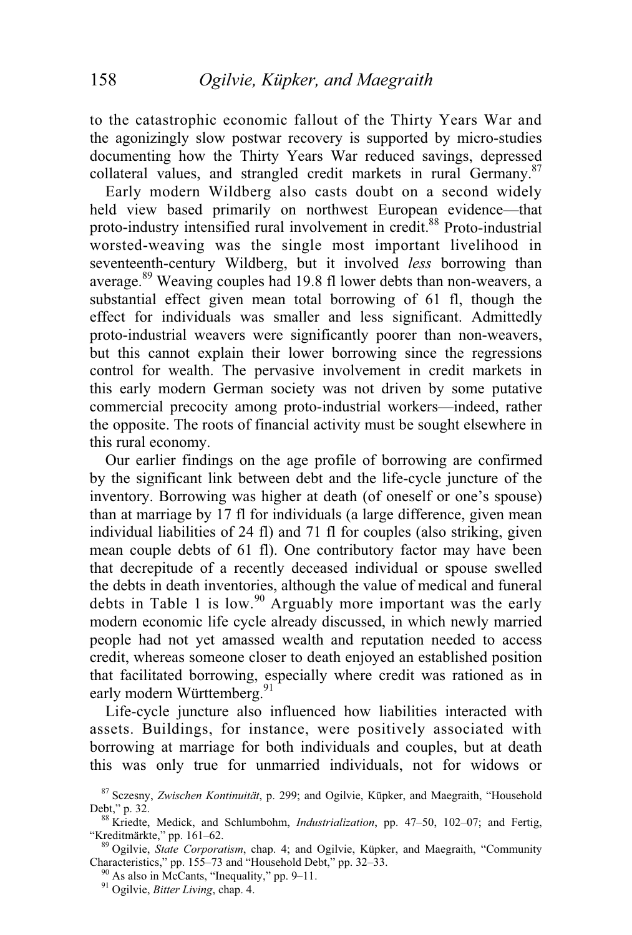to the catastrophic economic fallout of the Thirty Years War and the agonizingly slow postwar recovery is supported by micro-studies documenting how the Thirty Years War reduced savings, depressed collateral values, and strangled credit markets in rural Germany.<sup>87</sup>

 Early modern Wildberg also casts doubt on a second widely held view based primarily on northwest European evidence—that proto-industry intensified rural involvement in credit.<sup>88</sup> Proto-industrial worsted-weaving was the single most important livelihood in seventeenth-century Wildberg, but it involved *less* borrowing than average.89 Weaving couples had 19.8 fl lower debts than non-weavers, a substantial effect given mean total borrowing of 61 fl, though the effect for individuals was smaller and less significant. Admittedly proto-industrial weavers were significantly poorer than non-weavers, but this cannot explain their lower borrowing since the regressions control for wealth. The pervasive involvement in credit markets in this early modern German society was not driven by some putative commercial precocity among proto-industrial workers—indeed, rather the opposite. The roots of financial activity must be sought elsewhere in this rural economy.

 Our earlier findings on the age profile of borrowing are confirmed by the significant link between debt and the life-cycle juncture of the inventory. Borrowing was higher at death (of oneself or one's spouse) than at marriage by 17 fl for individuals (a large difference, given mean individual liabilities of 24 fl) and 71 fl for couples (also striking, given mean couple debts of 61 fl). One contributory factor may have been that decrepitude of a recently deceased individual or spouse swelled the debts in death inventories, although the value of medical and funeral debts in Table 1 is low. $90$  Arguably more important was the early modern economic life cycle already discussed, in which newly married people had not yet amassed wealth and reputation needed to access credit, whereas someone closer to death enjoyed an established position that facilitated borrowing, especially where credit was rationed as in early modern Württemberg.<sup>91</sup>

 Life-cycle juncture also influenced how liabilities interacted with assets. Buildings, for instance, were positively associated with borrowing at marriage for both individuals and couples, but at death this was only true for unmarried individuals, not for widows or

<sup>87</sup> Sczesny, *Zwischen Kontinuität*, p. 299; and Ogilvie, Küpker, and Maegraith, "Household

<sup>&</sup>lt;sup>88</sup> Kriedte, Medick, and Schlumbohm, *Industrialization*, pp. 47–50, 102–07; and Fertig, "Kreditmärkte," pp. 161–62.

<sup>&</sup>lt;sup>9</sup> Ogilvie, State Corporatism, chap. 4; and Ogilvie, Küpker, and Maegraith, "Community Characteristics," pp. 155–73 and "Household Debt," pp. 32–33.<br><sup>90</sup> As also in McCants, "Inequality," pp. 9–11.<br><sup>91</sup> Ogilvie, *Bitter Living*, chap. 4.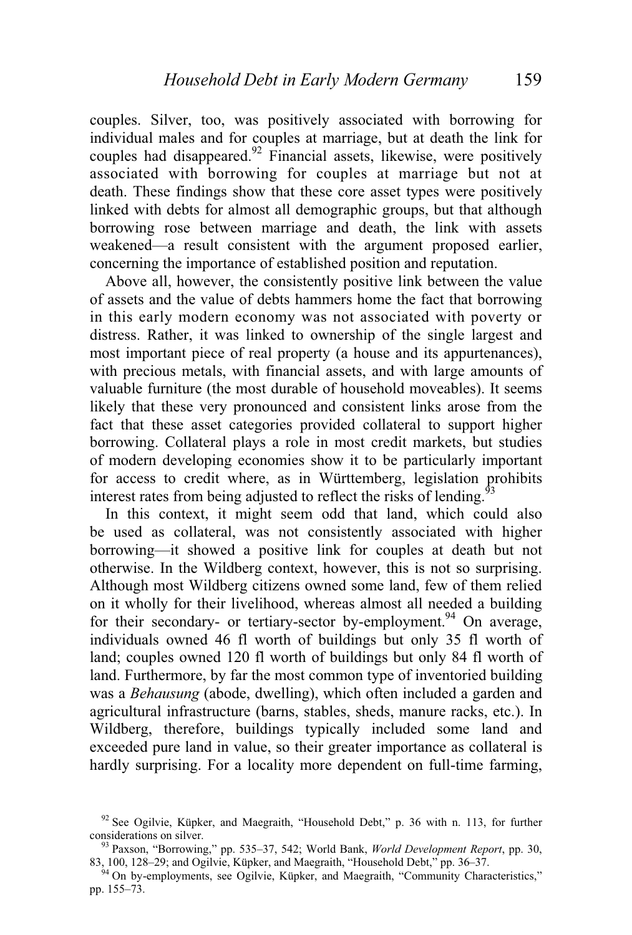couples. Silver, too, was positively associated with borrowing for individual males and for couples at marriage, but at death the link for couples had disappeared. $92$  Financial assets, likewise, were positively associated with borrowing for couples at marriage but not at death. These findings show that these core asset types were positively linked with debts for almost all demographic groups, but that although borrowing rose between marriage and death, the link with assets weakened—a result consistent with the argument proposed earlier, concerning the importance of established position and reputation.

 Above all, however, the consistently positive link between the value of assets and the value of debts hammers home the fact that borrowing in this early modern economy was not associated with poverty or distress. Rather, it was linked to ownership of the single largest and most important piece of real property (a house and its appurtenances), with precious metals, with financial assets, and with large amounts of valuable furniture (the most durable of household moveables). It seems likely that these very pronounced and consistent links arose from the fact that these asset categories provided collateral to support higher borrowing. Collateral plays a role in most credit markets, but studies of modern developing economies show it to be particularly important for access to credit where, as in Württemberg, legislation prohibits interest rates from being adjusted to reflect the risks of lending.<sup>9</sup>

 In this context, it might seem odd that land, which could also be used as collateral, was not consistently associated with higher borrowing—it showed a positive link for couples at death but not otherwise. In the Wildberg context, however, this is not so surprising. Although most Wildberg citizens owned some land, few of them relied on it wholly for their livelihood, whereas almost all needed a building for their secondary- or tertiary-sector by-employment.<sup>94</sup> On average, individuals owned 46 fl worth of buildings but only 35 fl worth of land; couples owned 120 fl worth of buildings but only 84 fl worth of land. Furthermore, by far the most common type of inventoried building was a *Behausung* (abode, dwelling), which often included a garden and agricultural infrastructure (barns, stables, sheds, manure racks, etc.). In Wildberg, therefore, buildings typically included some land and exceeded pure land in value, so their greater importance as collateral is hardly surprising. For a locality more dependent on full-time farming,

 $92$  See Ogilvie, Küpker, and Maegraith, "Household Debt," p. 36 with n. 113, for further

considerations on silver.<br><sup>93</sup> Paxson, "Borrowing," pp. 535–37, 542; World Bank, *World Development Report*, pp. 30, 83, 100, 128–29; and Ogilvie, Küpker, and Maegraith, "Household Debt," pp. 36–37.

<sup>&</sup>lt;sup>94</sup> On by-employments, see Ogilvie, Küpker, and Maegraith, "Community Characteristics," pp. 155-73.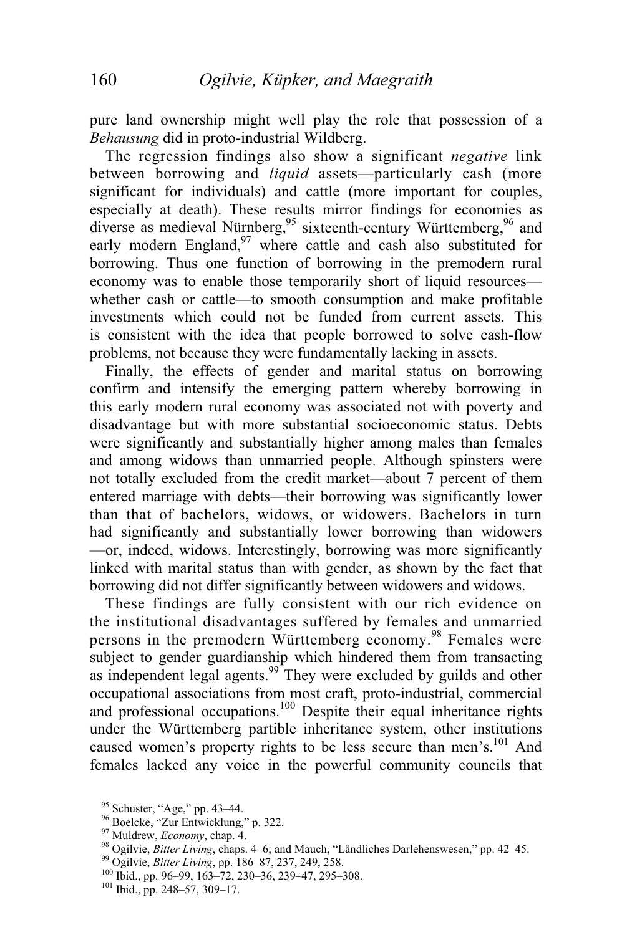pure land ownership might well play the role that possession of a *Behausung* did in proto-industrial Wildberg.

 The regression findings also show a significant *negative* link between borrowing and *liquid* assets—particularly cash (more significant for individuals) and cattle (more important for couples, especially at death). These results mirror findings for economies as diverse as medieval Nürnberg,<sup>95</sup> sixteenth-century Württemberg,<sup>96</sup> and early modern England, $97$  where cattle and cash also substituted for borrowing. Thus one function of borrowing in the premodern rural economy was to enable those temporarily short of liquid resources whether cash or cattle—to smooth consumption and make profitable investments which could not be funded from current assets. This is consistent with the idea that people borrowed to solve cash-flow problems, not because they were fundamentally lacking in assets.

 Finally, the effects of gender and marital status on borrowing confirm and intensify the emerging pattern whereby borrowing in this early modern rural economy was associated not with poverty and disadvantage but with more substantial socioeconomic status. Debts were significantly and substantially higher among males than females and among widows than unmarried people. Although spinsters were not totally excluded from the credit market—about 7 percent of them entered marriage with debts—their borrowing was significantly lower than that of bachelors, widows, or widowers. Bachelors in turn had significantly and substantially lower borrowing than widowers —or, indeed, widows. Interestingly, borrowing was more significantly linked with marital status than with gender, as shown by the fact that borrowing did not differ significantly between widowers and widows.

 These findings are fully consistent with our rich evidence on the institutional disadvantages suffered by females and unmarried persons in the premodern Württemberg economy.<sup>98</sup> Females were subject to gender guardianship which hindered them from transacting as independent legal agents.<sup>99</sup> They were excluded by guilds and other occupational associations from most craft, proto-industrial, commercial and professional occupations.<sup>100</sup> Despite their equal inheritance rights under the Württemberg partible inheritance system, other institutions caused women's property rights to be less secure than men's.<sup>101</sup> And females lacked any voice in the powerful community councils that

<sup>&</sup>lt;sup>95</sup> Schuster, "Age," pp. 43–44.<br><sup>96</sup> Boelcke, "Zur Entwicklung," p. 322.<br><sup>97</sup> Muldrew, *Economy*, chap. 4.<br><sup>98</sup> Ogilvie, *Bitter Living*, chaps. 4–6; and Mauch, "Ländliches Darlehenswesen," pp. 42–45.<br><sup>99</sup> Ogilvie, *Bitt*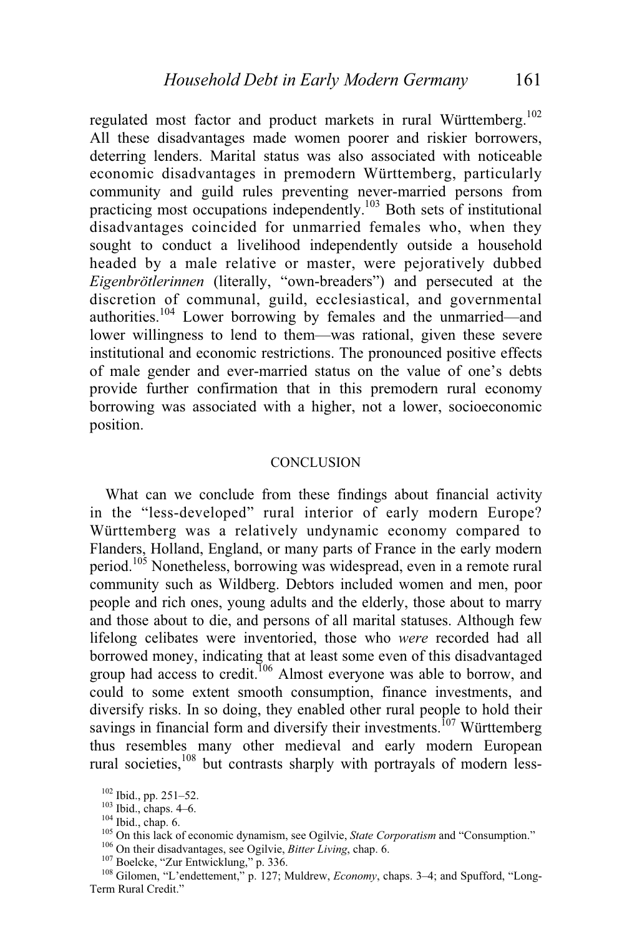regulated most factor and product markets in rural Württemberg.<sup>102</sup> All these disadvantages made women poorer and riskier borrowers, deterring lenders. Marital status was also associated with noticeable economic disadvantages in premodern Württemberg, particularly community and guild rules preventing never-married persons from practicing most occupations independently.103 Both sets of institutional disadvantages coincided for unmarried females who, when they sought to conduct a livelihood independently outside a household headed by a male relative or master, were pejoratively dubbed *Eigenbrötlerinnen* (literally, "own-breaders") and persecuted at the discretion of communal, guild, ecclesiastical, and governmental authorities.104 Lower borrowing by females and the unmarried—and lower willingness to lend to them—was rational, given these severe institutional and economic restrictions. The pronounced positive effects of male gender and ever-married status on the value of one's debts provide further confirmation that in this premodern rural economy borrowing was associated with a higher, not a lower, socioeconomic position.

### **CONCLUSION**

 What can we conclude from these findings about financial activity in the "less-developed" rural interior of early modern Europe? Württemberg was a relatively undynamic economy compared to Flanders, Holland, England, or many parts of France in the early modern period.<sup>105</sup> Nonetheless, borrowing was widespread, even in a remote rural community such as Wildberg. Debtors included women and men, poor people and rich ones, young adults and the elderly, those about to marry and those about to die, and persons of all marital statuses. Although few lifelong celibates were inventoried, those who *were* recorded had all borrowed money, indicating that at least some even of this disadvantaged group had access to credit.<sup>106</sup> Almost everyone was able to borrow, and could to some extent smooth consumption, finance investments, and diversify risks. In so doing, they enabled other rural people to hold their savings in financial form and diversify their investments.<sup>107</sup> Württemberg thus resembles many other medieval and early modern European rural societies, $108$  but contrasts sharply with portrayals of modern less-

<sup>&</sup>lt;sup>102</sup> Ibid., pp. 251–52.<br><sup>103</sup> Ibid., chaps. 4–6.<br><sup>104</sup> Ibid., chap. 6.<br><sup>105</sup> On this lack of economic dynamism, see Ogilvie, *State Corporatism* and "Consumption."<br><sup>106</sup> On their disadvantages, see Ogilvie, *Bitter Livin* 

Term Rural Credit."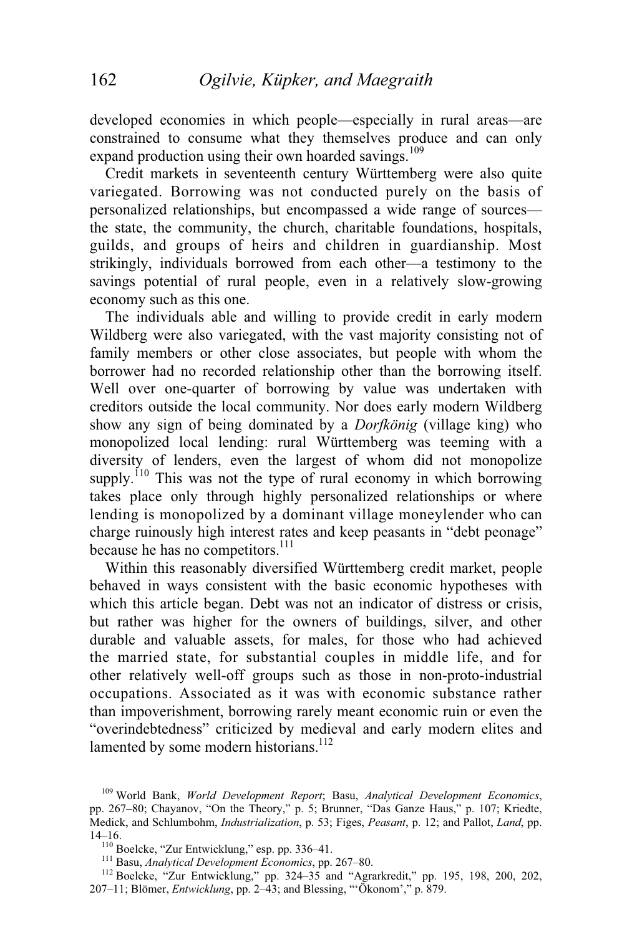developed economies in which people—especially in rural areas—are constrained to consume what they themselves produce and can only expand production using their own hoarded savings. $109$ 

 Credit markets in seventeenth century Württemberg were also quite variegated. Borrowing was not conducted purely on the basis of personalized relationships, but encompassed a wide range of sources the state, the community, the church, charitable foundations, hospitals, guilds, and groups of heirs and children in guardianship. Most strikingly, individuals borrowed from each other—a testimony to the savings potential of rural people, even in a relatively slow-growing economy such as this one.

 The individuals able and willing to provide credit in early modern Wildberg were also variegated, with the vast majority consisting not of family members or other close associates, but people with whom the borrower had no recorded relationship other than the borrowing itself. Well over one-quarter of borrowing by value was undertaken with creditors outside the local community. Nor does early modern Wildberg show any sign of being dominated by a *Dorfkönig* (village king) who monopolized local lending: rural Württemberg was teeming with a diversity of lenders, even the largest of whom did not monopolize supply.<sup> $110$ </sup> This was not the type of rural economy in which borrowing takes place only through highly personalized relationships or where lending is monopolized by a dominant village moneylender who can charge ruinously high interest rates and keep peasants in "debt peonage" because he has no competitors.<sup>111</sup>

 Within this reasonably diversified Württemberg credit market, people behaved in ways consistent with the basic economic hypotheses with which this article began. Debt was not an indicator of distress or crisis, but rather was higher for the owners of buildings, silver, and other durable and valuable assets, for males, for those who had achieved the married state, for substantial couples in middle life, and for other relatively well-off groups such as those in non-proto-industrial occupations. Associated as it was with economic substance rather than impoverishment, borrowing rarely meant economic ruin or even the "overindebtedness" criticized by medieval and early modern elites and lamented by some modern historians. $112$ 

<sup>109</sup> World Bank, *World Development Report*; Basu, *Analytical Development Economics*, pp. 267–80; Chayanov, "On the Theory," p. 5; Brunner, "Das Ganze Haus," p. 107; Kriedte, Medick, and Schlumbohm, *Industrialization*, p. 53; Figes, *Peasant*, p. 12; and Pallot, *Land*, pp.  $14-16$ .<br><sup>110</sup> Boelcke, "Zur Entwicklung," esp. pp. 336–41.

<sup>&</sup>lt;sup>111</sup> Basu, *Analytical Development Economics*, pp. 267–80.<br><sup>112</sup> Boelcke, "Zur Entwicklung," pp. 324–35 and "Agrarkredit," pp. 195, 198, 200, 202, 207–11; Blömer, *Entwicklung*, pp. 2–43; and Blessing, "'Ökonom'," p. 879.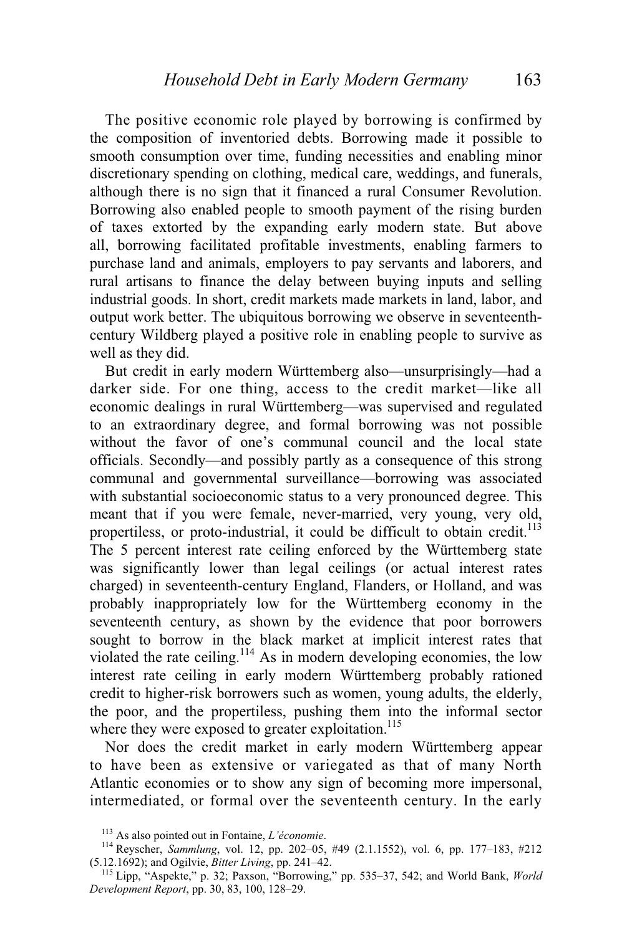The positive economic role played by borrowing is confirmed by the composition of inventoried debts. Borrowing made it possible to smooth consumption over time, funding necessities and enabling minor discretionary spending on clothing, medical care, weddings, and funerals, although there is no sign that it financed a rural Consumer Revolution. Borrowing also enabled people to smooth payment of the rising burden of taxes extorted by the expanding early modern state. But above all, borrowing facilitated profitable investments, enabling farmers to purchase land and animals, employers to pay servants and laborers, and rural artisans to finance the delay between buying inputs and selling industrial goods. In short, credit markets made markets in land, labor, and output work better. The ubiquitous borrowing we observe in seventeenthcentury Wildberg played a positive role in enabling people to survive as well as they did.

 But credit in early modern Württemberg also—unsurprisingly—had a darker side. For one thing, access to the credit market—like all economic dealings in rural Württemberg—was supervised and regulated to an extraordinary degree, and formal borrowing was not possible without the favor of one's communal council and the local state officials. Secondly—and possibly partly as a consequence of this strong communal and governmental surveillance—borrowing was associated with substantial socioeconomic status to a very pronounced degree. This meant that if you were female, never-married, very young, very old, propertiless, or proto-industrial, it could be difficult to obtain credit.<sup>113</sup> The 5 percent interest rate ceiling enforced by the Württemberg state was significantly lower than legal ceilings (or actual interest rates charged) in seventeenth-century England, Flanders, or Holland, and was probably inappropriately low for the Württemberg economy in the seventeenth century, as shown by the evidence that poor borrowers sought to borrow in the black market at implicit interest rates that violated the rate ceiling.<sup>114</sup> As in modern developing economies, the low interest rate ceiling in early modern Württemberg probably rationed credit to higher-risk borrowers such as women, young adults, the elderly, the poor, and the propertiless, pushing them into the informal sector where they were exposed to greater exploitation. $115$ 

 Nor does the credit market in early modern Württemberg appear to have been as extensive or variegated as that of many North Atlantic economies or to show any sign of becoming more impersonal, intermediated, or formal over the seventeenth century. In the early

<sup>&</sup>lt;sup>113</sup> As also pointed out in Fontaine, *L'économie*.<br><sup>114</sup> Reyscher, *Sammlung*, vol. 12, pp. 202–05, #49 (2.1.1552), vol. 6, pp. 177–183, #212  $(5.12.1692)$ ; and Ogilvie, *Bitter Living*, pp. 241–42.<br><sup>115</sup> Lipp, "Aspekte," p. 32; Paxson, "Borrowing," pp. 535–37, 542; and World Bank, *World* 

*Development Report*, pp. 30, 83, 100, 128-29.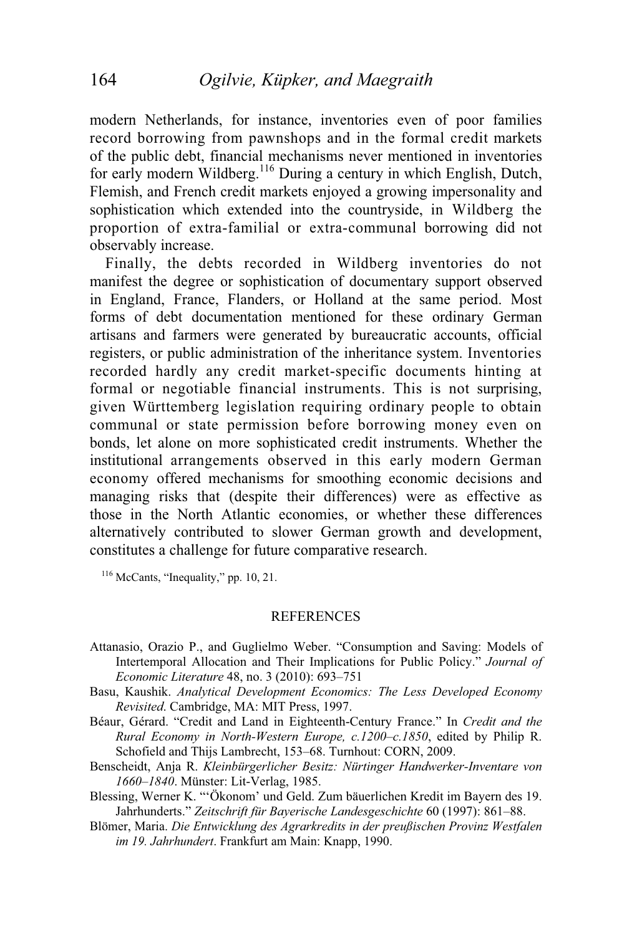modern Netherlands, for instance, inventories even of poor families record borrowing from pawnshops and in the formal credit markets of the public debt, financial mechanisms never mentioned in inventories for early modern Wildberg.116 During a century in which English, Dutch, Flemish, and French credit markets enjoyed a growing impersonality and sophistication which extended into the countryside, in Wildberg the proportion of extra-familial or extra-communal borrowing did not observably increase.

 Finally, the debts recorded in Wildberg inventories do not manifest the degree or sophistication of documentary support observed in England, France, Flanders, or Holland at the same period. Most forms of debt documentation mentioned for these ordinary German artisans and farmers were generated by bureaucratic accounts, official registers, or public administration of the inheritance system. Inventories recorded hardly any credit market-specific documents hinting at formal or negotiable financial instruments. This is not surprising, given Württemberg legislation requiring ordinary people to obtain communal or state permission before borrowing money even on bonds, let alone on more sophisticated credit instruments. Whether the institutional arrangements observed in this early modern German economy offered mechanisms for smoothing economic decisions and managing risks that (despite their differences) were as effective as those in the North Atlantic economies, or whether these differences alternatively contributed to slower German growth and development, constitutes a challenge for future comparative research.

<sup>116</sup> McCants, "Inequality," pp. 10, 21.

#### **REFERENCES**

- Attanasio, Orazio P., and Guglielmo Weber. "Consumption and Saving: Models of Intertemporal Allocation and Their Implications for Public Policy." *Journal of Economic Literature* 48, no. 3 (2010): 693-751
- Basu, Kaushik. *Analytical Development Economics: The Less Developed Economy Revisited*. Cambridge, MA: MIT Press, 1997.
- Béaur, Gérard. "Credit and Land in Eighteenth-Century France." In *Credit and the Rural Economy in North-Western Europe, c.1200–c.1850*, edited by Philip R. Schofield and Thijs Lambrecht, 153-68. Turnhout: CORN, 2009.
- Benscheidt, Anja R. *Kleinbürgerlicher Besitz: Nürtinger Handwerker-Inventare von 16601840*. Münster: Lit-Verlag, 1985.
- Blessing, Werner K. "'Ökonom' und Geld. Zum bäuerlichen Kredit im Bayern des 19. Jahrhunderts." Zeitschrift für Bayerische Landesgeschichte 60 (1997): 861–88.
- Blömer, Maria. *Die Entwicklung des Agrarkredits in der preußischen Provinz Westfalen im 19. Jahrhundert*. Frankfurt am Main: Knapp, 1990.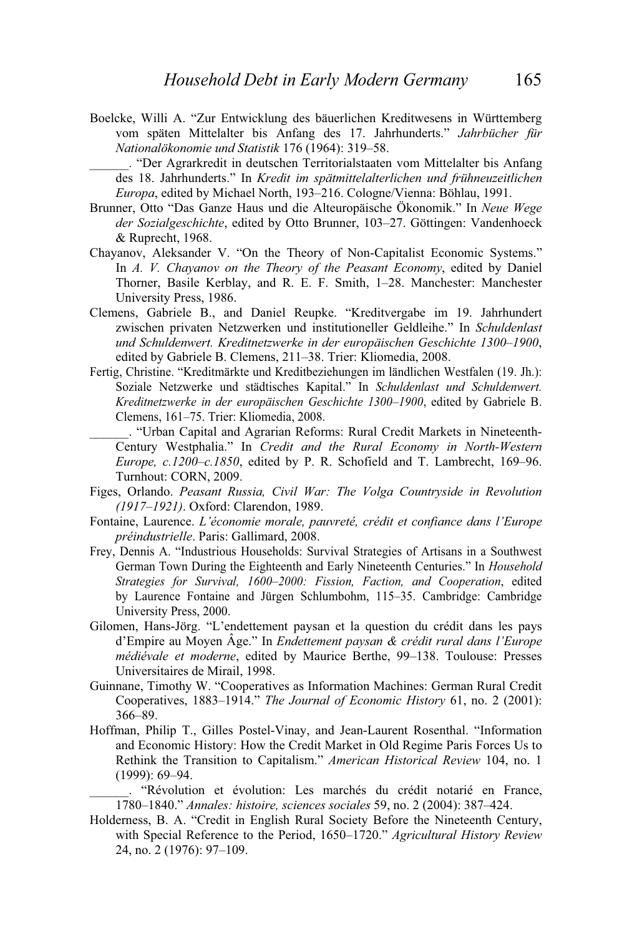Boelcke, Willi A. "Zur Entwicklung des bäuerlichen Kreditwesens in Württemberg vom späten Mittelalter bis Anfang des 17. Jahrhunderts." *Jahrbücher für Nationalökonomie und Statistik* 176 (1964): 319–58.

\_\_\_\_\_\_. "Der Agrarkredit in deutschen Territorialstaaten vom Mittelalter bis Anfang des 18. Jahrhunderts." In *Kredit im spätmittelalterlichen und frühneuzeitlichen Europa*, edited by Michael North, 193-216. Cologne/Vienna: Böhlau, 1991.

- Brunner, Otto "Das Ganze Haus und die Alteuropäische Ökonomik." In *Neue Wege*  der Sozialgeschichte, edited by Otto Brunner, 103-27. Göttingen: Vandenhoeck & Ruprecht, 1968.
- Chayanov, Aleksander V. "On the Theory of Non-Capitalist Economic Systems." In *A. V. Chayanov on the Theory of the Peasant Economy*, edited by Daniel Thorner, Basile Kerblay, and R. E. F. Smith, 1-28. Manchester: Manchester University Press, 1986.
- Clemens, Gabriele B., and Daniel Reupke. "Kreditvergabe im 19. Jahrhundert zwischen privaten Netzwerken und institutioneller Geldleihe." In *Schuldenlast und Schuldenwert. Kreditnetzwerke in der europäischen Geschichte 13001900*, edited by Gabriele B. Clemens, 211-38. Trier: Kliomedia, 2008.
- Fertig, Christine. "Kreditmärkte und Kreditbeziehungen im ländlichen Westfalen (19. Jh.): Soziale Netzwerke und städtisches Kapital." In *Schuldenlast und Schuldenwert. Kreditnetzwerke in der europäischen Geschichte 13001900*, edited by Gabriele B. Clemens, 161-75. Trier: Kliomedia, 2008.

\_\_\_\_\_\_. "Urban Capital and Agrarian Reforms: Rural Credit Markets in Nineteenth-Century Westphalia." In *Credit and the Rural Economy in North-Western Europe, c.1200–c.1850*, edited by P. R. Schofield and T. Lambrecht, 169–96. Turnhout: CORN, 2009.

- Figes, Orlando. *Peasant Russia, Civil War: The Volga Countryside in Revolution (19171921)*. Oxford: Clarendon, 1989.
- Fontaine, Laurence. *L'économie morale, pauvreté, crédit et confiance dans l'Europe préindustrielle*. Paris: Gallimard, 2008.
- Frey, Dennis A. "Industrious Households: Survival Strategies of Artisans in a Southwest German Town During the Eighteenth and Early Nineteenth Centuries." In *Household Strategies for Survival, 1600࣓2000: Fission, Faction, and Cooperation*, edited by Laurence Fontaine and Jürgen Schlumbohm, 115-35. Cambridge: Cambridge University Press, 2000.
- Gilomen, Hans-Jörg. "L'endettement paysan et la question du crédit dans les pays d'Empire au Moyen Âge." In *Endettement paysan & crédit rural dans l'Europe médiévale et moderne*, edited by Maurice Berthe, 99-138. Toulouse: Presses Universitaires de Mirail, 1998.
- Guinnane, Timothy W. "Cooperatives as Information Machines: German Rural Credit Cooperatives, 1883–1914." *The Journal of Economic History* 61, no. 2 (2001): 366-89.
- Hoffman, Philip T., Gilles Postel-Vinay, and Jean-Laurent Rosenthal. "Information and Economic History: How the Credit Market in Old Regime Paris Forces Us to Rethink the Transition to Capitalism." *American Historical Review* 104, no. 1  $(1999): 69 - 94.$

"Révolution et évolution: Les marchés du crédit notarié en France, 1780-1840." *Annales: histoire, sciences sociales* 59, no. 2 (2004): 387-424.

Holderness, B. A. "Credit in English Rural Society Before the Nineteenth Century, with Special Reference to the Period, 1650-1720." *Agricultural History Review* 24, no. 2 (1976): 97–109.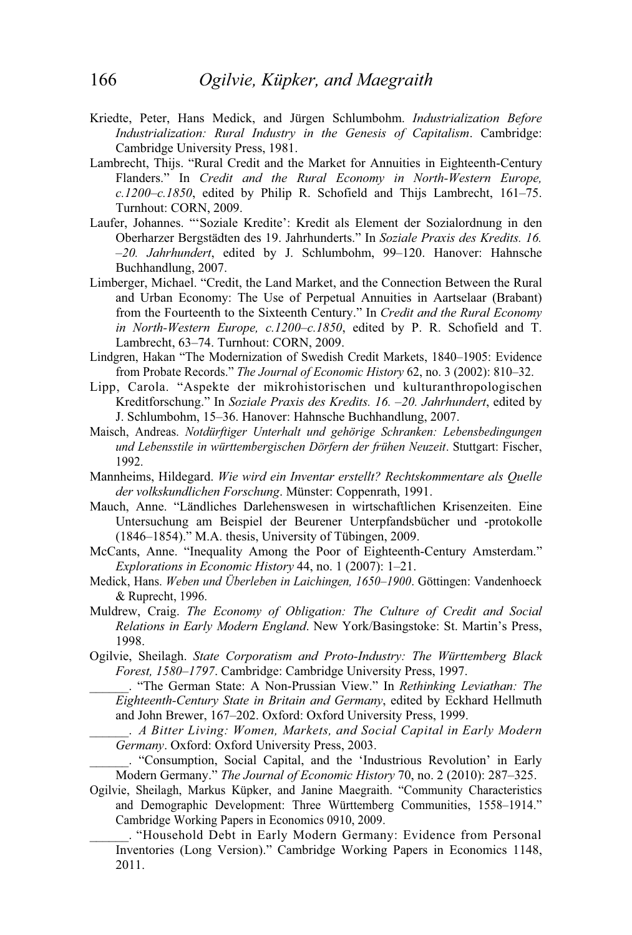- Kriedte, Peter, Hans Medick, and Jürgen Schlumbohm. *Industrialization Before Industrialization: Rural Industry in the Genesis of Capitalism*. Cambridge: Cambridge University Press, 1981.
- Lambrecht, Thijs. "Rural Credit and the Market for Annuities in Eighteenth-Century Flanders." In *Credit and the Rural Economy in North-Western Europe,*   $c.1200-c.1850$ , edited by Philip R. Schofield and Thijs Lambrecht,  $161-75$ . Turnhout: CORN, 2009.
- Laufer, Johannes. "'Soziale Kredite': Kredit als Element der Sozialordnung in den Oberharzer Bergstädten des 19. Jahrhunderts." In *Soziale Praxis des Kredits. 16.* -20. Jahrhundert, edited by J. Schlumbohm, 99-120. Hanover: Hahnsche Buchhandlung, 2007.
- Limberger, Michael. "Credit, the Land Market, and the Connection Between the Rural and Urban Economy: The Use of Perpetual Annuities in Aartselaar (Brabant) from the Fourteenth to the Sixteenth Century." In *Credit and the Rural Economy in North-Western Europe, c.1200c.1850*, edited by P. R. Schofield and T. Lambrecht, 63-74. Turnhout: CORN, 2009.
- Lindgren, Hakan "The Modernization of Swedish Credit Markets, 1840-1905: Evidence from Probate Records." *The Journal of Economic History* 62, no. 3 (2002): 810-32.
- Lipp, Carola. "Aspekte der mikrohistorischen und kulturanthropologischen Kreditforschung." In *Soziale Praxis des Kredits. 16. 20. Jahrhundert*, edited by J. Schlumbohm, 15-36. Hanover: Hahnsche Buchhandlung, 2007.
- Maisch, Andreas. *Notdürftiger Unterhalt und gehörige Schranken: Lebensbedingungen und Lebensstile in württembergischen Dörfern der frühen Neuzeit*. Stuttgart: Fischer, 1992.
- Mannheims, Hildegard. *Wie wird ein Inventar erstellt? Rechtskommentare als Quelle der volkskundlichen Forschung*. Münster: Coppenrath, 1991.
- Mauch, Anne. "Ländliches Darlehenswesen in wirtschaftlichen Krisenzeiten. Eine Untersuchung am Beispiel der Beurener Unterpfandsbücher und -protokolle  $(1846-1854)$ ." M.A. thesis, University of Tübingen, 2009.
- McCants, Anne. "Inequality Among the Poor of Eighteenth-Century Amsterdam." *Explorations in Economic History* 44, no. 1 (2007): 1–21.
- Medick, Hans. *Weben und Überleben in Laichingen, 16501900*. Göttingen: Vandenhoeck & Ruprecht, 1996.
- Muldrew, Craig. *The Economy of Obligation: The Culture of Credit and Social Relations in Early Modern England*. New York/Basingstoke: St. Martin's Press, 1998.
- Ogilvie, Sheilagh. *State Corporatism and Proto-Industry: The Württemberg Black Forest, 15801797*. Cambridge: Cambridge University Press, 1997.
	- \_\_\_\_\_\_. "The German State: A Non-Prussian View." In *Rethinking Leviathan: The Eighteenth-Century State in Britain and Germany*, edited by Eckhard Hellmuth and John Brewer, 167-202. Oxford: Oxford University Press, 1999.
	- \_\_\_\_\_\_. *A Bitter Living: Women, Markets, and Social Capital in Early Modern Germany*. Oxford: Oxford University Press, 2003.
	- \_\_\_\_\_\_. "Consumption, Social Capital, and the 'Industrious Revolution' in Early Modern Germany." *The Journal of Economic History* 70, no. 2 (2010): 287-325.
- Ogilvie, Sheilagh, Markus Küpker, and Janine Maegraith. "Community Characteristics and Demographic Development: Three Württemberg Communities, 1558-1914." Cambridge Working Papers in Economics 0910, 2009.
	- \_\_\_\_\_\_. "Household Debt in Early Modern Germany: Evidence from Personal Inventories (Long Version)." Cambridge Working Papers in Economics 1148, 2011.